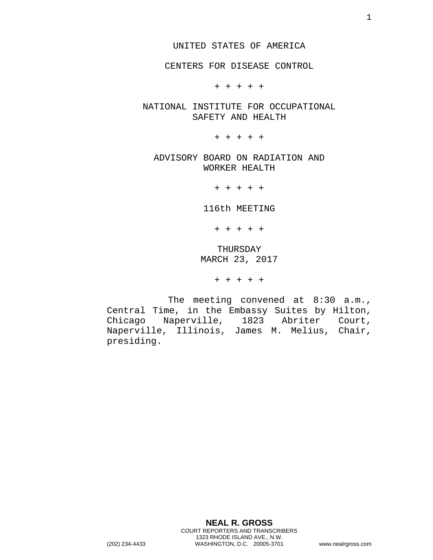CENTERS FOR DISEASE CONTROL

+ + + + +

NATIONAL INSTITUTE FOR OCCUPATIONAL SAFETY AND HEALTH

+ + + + +

ADVISORY BOARD ON RADIATION AND WORKER HEALTH

+ + + + +

116th MEETING

+ + + + +

THURSDAY MARCH 23, 2017

+ + + + +

The meeting convened at 8:30 a.m., Central Time, in the Embassy Suites by Hilton, Chicago Naperville, 1823 Abriter Court, Naperville, Illinois, James M. Melius, Chair, presiding.

**NEAL R. GROSS**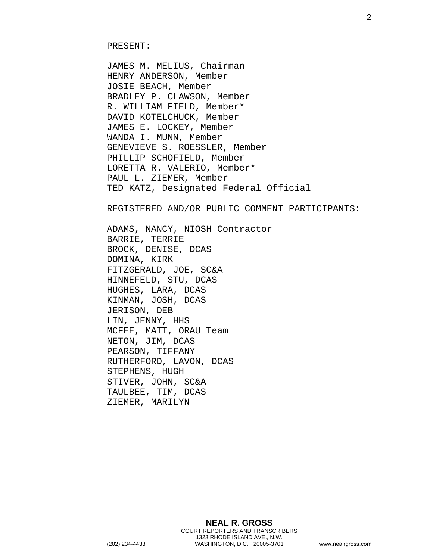JAMES M. MELIUS, Chairman HENRY ANDERSON, Member JOSIE BEACH, Member BRADLEY P. CLAWSON, Member R. WILLIAM FIELD, Member\* DAVID KOTELCHUCK, Member JAMES E. LOCKEY, Member WANDA I. MUNN, Member GENEVIEVE S. ROESSLER, Member PHILLIP SCHOFIELD, Member LORETTA R. VALERIO, Member\* PAUL L. ZIEMER, Member TED KATZ, Designated Federal Official

REGISTERED AND/OR PUBLIC COMMENT PARTICIPANTS:

ADAMS, NANCY, NIOSH Contractor BARRIE, TERRIE BROCK, DENISE, DCAS DOMINA, KIRK FITZGERALD, JOE, SC&A HINNEFELD, STU, DCAS HUGHES, LARA, DCAS KINMAN, JOSH, DCAS JERISON, DEB LIN, JENNY, HHS MCFEE, MATT, ORAU Team NETON, JIM, DCAS PEARSON, TIFFANY RUTHERFORD, LAVON, DCAS STEPHENS, HUGH STIVER, JOHN, SC&A TAULBEE, TIM, DCAS ZIEMER, MARILYN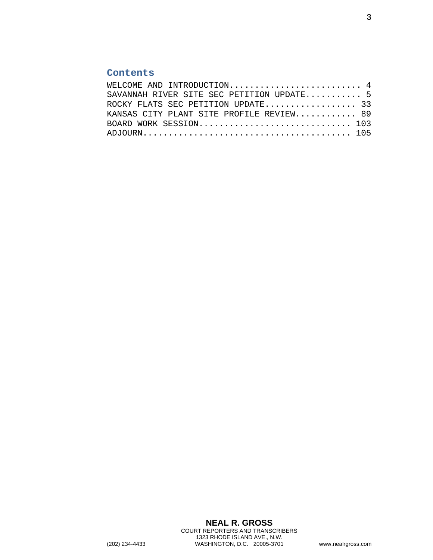## **Contents**

| WELCOME AND INTRODUCTION 4                |  |
|-------------------------------------------|--|
| SAVANNAH RIVER SITE SEC PETITION UPDATE 5 |  |
| ROCKY FLATS SEC PETITION UPDATE 33        |  |
| KANSAS CITY PLANT SITE PROFILE REVIEW 89  |  |
| BOARD WORK SESSION 103                    |  |
|                                           |  |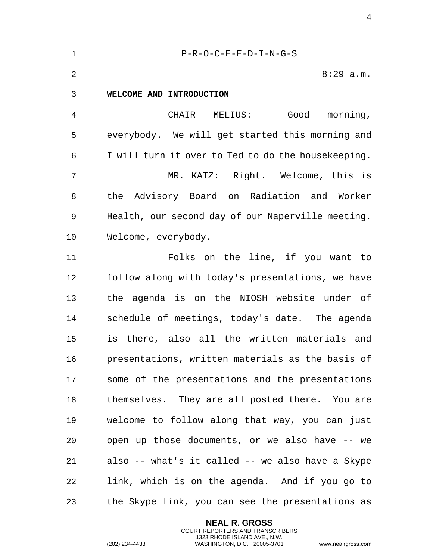<span id="page-3-0"></span>

| $\mathbf 1$    | $P-R-O-C-E-E-D-I-N-G-S$                            |
|----------------|----------------------------------------------------|
| $\overline{2}$ | $8:29$ a.m.                                        |
| $\mathbf{3}$   | WELCOME AND INTRODUCTION                           |
| 4              | CHAIR MELIUS: Good morning,                        |
| 5              | everybody. We will get started this morning and    |
| 6              | I will turn it over to Ted to do the housekeeping. |
| 7              | MR. KATZ: Right. Welcome, this is                  |
| 8              | the Advisory Board on Radiation and Worker         |
| 9              | Health, our second day of our Naperville meeting.  |
| 10             | Welcome, everybody.                                |
| 11             | Folks on the line, if you want to                  |
| 12             | follow along with today's presentations, we have   |
| 13             | the agenda is on the NIOSH website under of        |
| 14             | schedule of meetings, today's date. The agenda     |
| 15             | there, also all the written materials and<br>is    |
| 16             | presentations, written materials as the basis of   |
| 17             | some of the presentations and the presentations    |
| 18             | themselves. They are all posted there. You are     |
| 19             | welcome to follow along that way, you can just     |
| 20             | open up those documents, or we also have -- we     |
| 21             | also -- what's it called -- we also have a Skype   |
| 22             | link, which is on the agenda. And if you go to     |
| 23             | the Skype link, you can see the presentations as   |

**NEAL R. GROSS** COURT REPORTERS AND TRANSCRIBERS 1323 RHODE ISLAND AVE., N.W.

(202) 234-4433 WASHINGTON, D.C. 20005-3701 www.nealrgross.com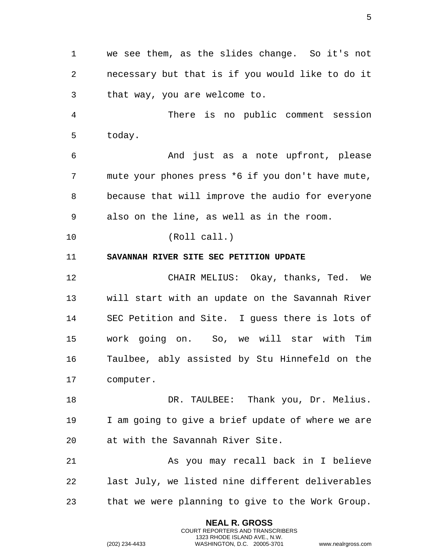1 we see them, as the slides change. So it's not 2 necessary but that is if you would like to do it 3 that way, you are welcome to.

4 There is no public comment session 5 today.

6 And just as a note upfront, please 7 mute your phones press \*6 if you don't have mute, 8 because that will improve the audio for everyone 9 also on the line, as well as in the room.

<span id="page-4-0"></span>10 (Roll call.)

11 **SAVANNAH RIVER SITE SEC PETITION UPDATE** 

12 CHAIR MELIUS: Okay, thanks, Ted. We 13 will start with an update on the Savannah River 14 SEC Petition and Site. I guess there is lots of 15 work going on. So, we will star with Tim 16 Taulbee, ably assisted by Stu Hinnefeld on the 17 computer.

18 DR. TAULBEE: Thank you, Dr. Melius. 19 I am going to give a brief update of where we are 20 at with the Savannah River Site.

21 As you may recall back in I believe 22 last July, we listed nine different deliverables 23 that we were planning to give to the Work Group.

> **NEAL R. GROSS** COURT REPORTERS AND TRANSCRIBERS 1323 RHODE ISLAND AVE., N.W.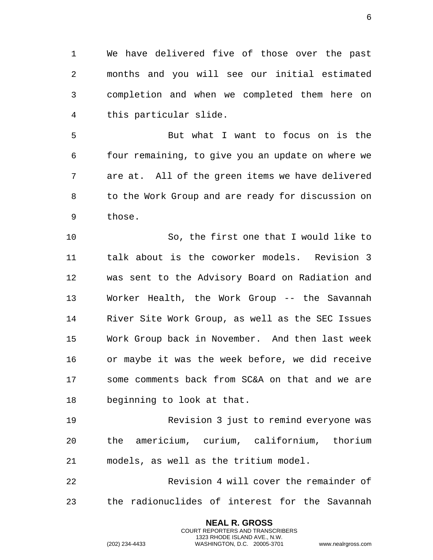1 We have delivered five of those over the past 2 months and you will see our initial estimated 3 completion and when we completed them here on 4 this particular slide.

5 But what I want to focus on is the 6 four remaining, to give you an update on where we 7 are at. All of the green items we have delivered 8 to the Work Group and are ready for discussion on 9 those.

10 So, the first one that I would like to 11 talk about is the coworker models. Revision 3 12 was sent to the Advisory Board on Radiation and 13 Worker Health, the Work Group -- the Savannah 14 River Site Work Group, as well as the SEC Issues 15 Work Group back in November. And then last week 16 or maybe it was the week before, we did receive 17 some comments back from SC&A on that and we are 18 beginning to look at that.

19 Revision 3 just to remind everyone was 20 the americium, curium, californium, thorium 21 models, as well as the tritium model.

22 Revision 4 will cover the remainder of 23 the radionuclides of interest for the Savannah

> **NEAL R. GROSS** COURT REPORTERS AND TRANSCRIBERS 1323 RHODE ISLAND AVE., N.W.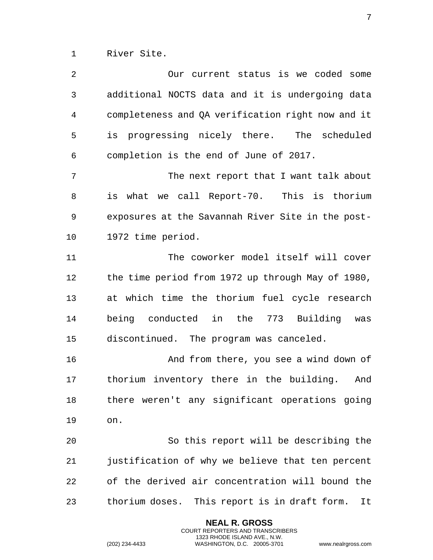1 River Site.

| 2  | Our current status is we coded some                |
|----|----------------------------------------------------|
| 3  | additional NOCTS data and it is undergoing data    |
| 4  | completeness and QA verification right now and it  |
| 5  | is progressing nicely there. The scheduled         |
| 6  | completion is the end of June of 2017.             |
| 7  | The next report that I want talk about             |
| 8  | is what we call Report-70. This is thorium         |
| 9  | exposures at the Savannah River Site in the post-  |
| 10 | 1972 time period.                                  |
| 11 | The coworker model itself will cover               |
| 12 | the time period from 1972 up through May of 1980,  |
| 13 | at which time the thorium fuel cycle research      |
| 14 | being conducted in the 773 Building<br>was         |
| 15 | discontinued. The program was canceled.            |
| 16 | And from there, you see a wind down of             |
| 17 | thorium inventory there in the building.<br>And    |
| 18 | there weren't any significant operations going     |
| 19 | on.                                                |
| 20 | So this report will be describing the              |
| 21 | justification of why we believe that ten percent   |
| 22 | of the derived air concentration will bound the    |
| 23 | thorium doses. This report is in draft form.<br>It |

**NEAL R. GROSS** COURT REPORTERS AND TRANSCRIBERS 1323 RHODE ISLAND AVE., N.W.

(202) 234-4433 WASHINGTON, D.C. 20005-3701 www.nealrgross.com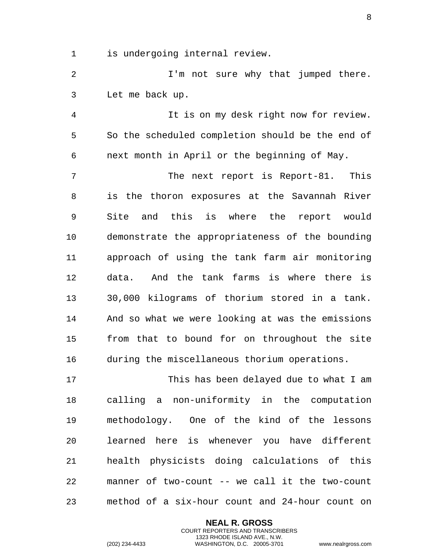1 is undergoing internal review.

2 I'm not sure why that jumped there. 3 Let me back up.

4 It is on my desk right now for review. 5 So the scheduled completion should be the end of 6 next month in April or the beginning of May.

7 The next report is Report-81. This 8 is the thoron exposures at the Savannah River 9 Site and this is where the report would 10 demonstrate the appropriateness of the bounding 11 approach of using the tank farm air monitoring 12 data. And the tank farms is where there is 13 30,000 kilograms of thorium stored in a tank. 14 And so what we were looking at was the emissions 15 from that to bound for on throughout the site 16 during the miscellaneous thorium operations.

17 This has been delayed due to what I am 18 calling a non-uniformity in the computation 19 methodology. One of the kind of the lessons 20 learned here is whenever you have different 21 health physicists doing calculations of this 22 manner of two-count -- we call it the two-count 23 method of a six-hour count and 24-hour count on

> **NEAL R. GROSS** COURT REPORTERS AND TRANSCRIBERS 1323 RHODE ISLAND AVE., N.W.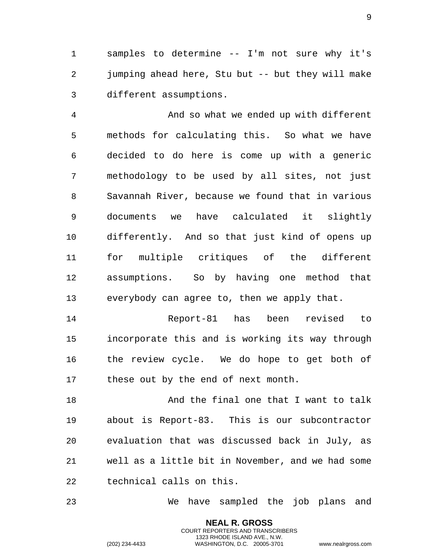1 samples to determine -- I'm not sure why it's 2 jumping ahead here, Stu but -- but they will make 3 different assumptions.

4 And so what we ended up with different 5 methods for calculating this. So what we have 6 decided to do here is come up with a generic 7 methodology to be used by all sites, not just 8 Savannah River, because we found that in various 9 documents we have calculated it slightly 10 differently. And so that just kind of opens up 11 for multiple critiques of the different 12 assumptions. So by having one method that 13 everybody can agree to, then we apply that.

14 Report-81 has been revised to 15 incorporate this and is working its way through 16 the review cycle. We do hope to get both of 17 these out by the end of next month.

18 **And the final one that I want to talk** 19 about is Report-83. This is our subcontractor 20 evaluation that was discussed back in July, as 21 well as a little bit in November, and we had some 22 technical calls on this.

23 We have sampled the job plans and

**NEAL R. GROSS** COURT REPORTERS AND TRANSCRIBERS 1323 RHODE ISLAND AVE., N.W.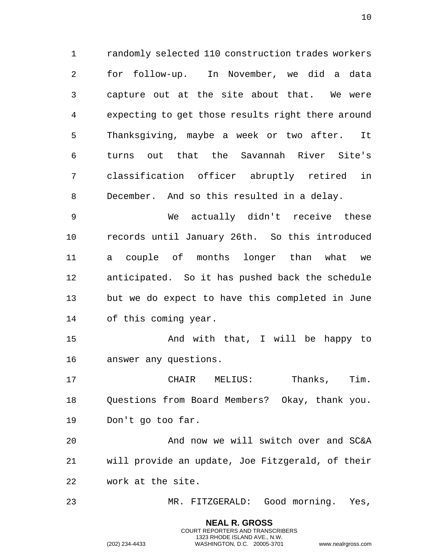randomly selected 110 construction trades workers for follow-up. In November, we did a data capture out at the site about that. We were expecting to get those results right there around Thanksgiving, maybe a week or two after. It turns out that the Savannah River Site's classification officer abruptly retired in December. And so this resulted in a delay.

 We actually didn't receive these records until January 26th. So this introduced a couple of months longer than what we anticipated. So it has pushed back the schedule but we do expect to have this completed in June of this coming year.

15 And with that, I will be happy to answer any questions.

 CHAIR MELIUS: Thanks, Tim. Questions from Board Members? Okay, thank you. Don't go too far.

 And now we will switch over and SC&A will provide an update, Joe Fitzgerald, of their work at the site.

MR. FITZGERALD: Good morning. Yes,

**NEAL R. GROSS** COURT REPORTERS AND TRANSCRIBERS 1323 RHODE ISLAND AVE., N.W.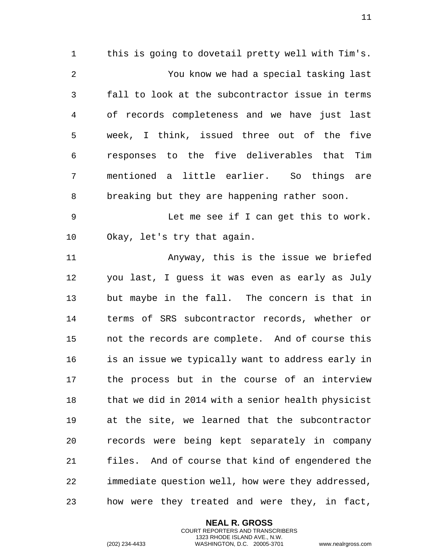this is going to dovetail pretty well with Tim's. You know we had a special tasking last fall to look at the subcontractor issue in terms of records completeness and we have just last week, I think, issued three out of the five responses to the five deliverables that Tim mentioned a little earlier. So things are breaking but they are happening rather soon.

 Let me see if I can get this to work. Okay, let's try that again.

 Anyway, this is the issue we briefed you last, I guess it was even as early as July but maybe in the fall. The concern is that in terms of SRS subcontractor records, whether or not the records are complete. And of course this is an issue we typically want to address early in the process but in the course of an interview that we did in 2014 with a senior health physicist at the site, we learned that the subcontractor records were being kept separately in company files. And of course that kind of engendered the immediate question well, how were they addressed, how were they treated and were they, in fact,

> **NEAL R. GROSS** COURT REPORTERS AND TRANSCRIBERS 1323 RHODE ISLAND AVE., N.W.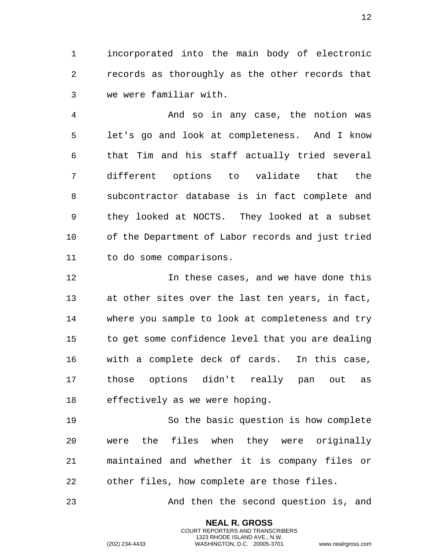incorporated into the main body of electronic records as thoroughly as the other records that we were familiar with.

 And so in any case, the notion was let's go and look at completeness. And I know that Tim and his staff actually tried several different options to validate that the subcontractor database is in fact complete and they looked at NOCTS. They looked at a subset of the Department of Labor records and just tried to do some comparisons.

12 12 In these cases, and we have done this at other sites over the last ten years, in fact, where you sample to look at completeness and try to get some confidence level that you are dealing with a complete deck of cards. In this case, those options didn't really pan out as effectively as we were hoping.

 So the basic question is how complete were the files when they were originally maintained and whether it is company files or other files, how complete are those files.

And then the second question is, and

**NEAL R. GROSS** COURT REPORTERS AND TRANSCRIBERS 1323 RHODE ISLAND AVE., N.W.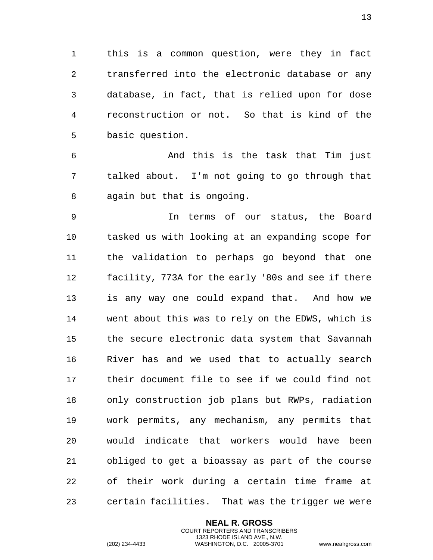1 this is a common question, were they in fact 2 transferred into the electronic database or any 3 database, in fact, that is relied upon for dose 4 reconstruction or not. So that is kind of the 5 basic question.

6 And this is the task that Tim just 7 talked about. I'm not going to go through that 8 again but that is ongoing.

9 In terms of our status, the Board 10 tasked us with looking at an expanding scope for 11 the validation to perhaps go beyond that one 12 facility, 773A for the early '80s and see if there 13 is any way one could expand that. And how we 14 went about this was to rely on the EDWS, which is 15 the secure electronic data system that Savannah 16 River has and we used that to actually search 17 their document file to see if we could find not 18 only construction job plans but RWPs, radiation 19 work permits, any mechanism, any permits that 20 would indicate that workers would have been 21 obliged to get a bioassay as part of the course 22 of their work during a certain time frame at 23 certain facilities. That was the trigger we were

> **NEAL R. GROSS** COURT REPORTERS AND TRANSCRIBERS 1323 RHODE ISLAND AVE., N.W.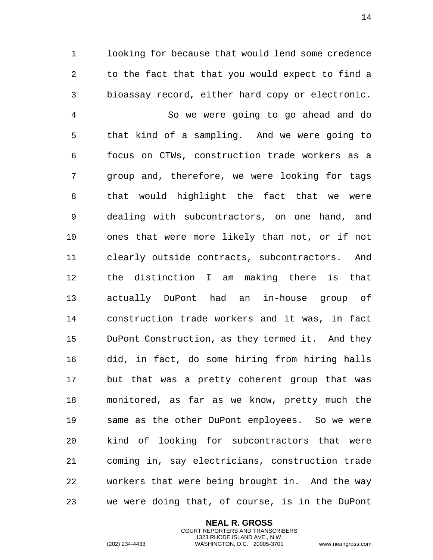looking for because that would lend some credence to the fact that that you would expect to find a bioassay record, either hard copy or electronic.

 So we were going to go ahead and do that kind of a sampling. And we were going to focus on CTWs, construction trade workers as a group and, therefore, we were looking for tags that would highlight the fact that we were dealing with subcontractors, on one hand, and ones that were more likely than not, or if not clearly outside contracts, subcontractors. And the distinction I am making there is that actually DuPont had an in-house group of construction trade workers and it was, in fact DuPont Construction, as they termed it. And they did, in fact, do some hiring from hiring halls but that was a pretty coherent group that was monitored, as far as we know, pretty much the same as the other DuPont employees. So we were kind of looking for subcontractors that were coming in, say electricians, construction trade workers that were being brought in. And the way we were doing that, of course, is in the DuPont

> **NEAL R. GROSS** COURT REPORTERS AND TRANSCRIBERS 1323 RHODE ISLAND AVE., N.W.

(202) 234-4433 WASHINGTON, D.C. 20005-3701 www.nealrgross.com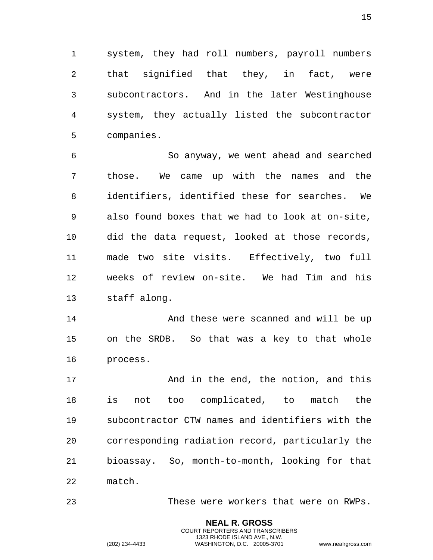1 system, they had roll numbers, payroll numbers 2 that signified that they, in fact, were 3 subcontractors. And in the later Westinghouse 4 system, they actually listed the subcontractor 5 companies.

6 So anyway, we went ahead and searched 7 those. We came up with the names and the 8 identifiers, identified these for searches. We 9 also found boxes that we had to look at on-site, 10 did the data request, looked at those records, 11 made two site visits. Effectively, two full 12 weeks of review on-site. We had Tim and his 13 staff along.

14 And these were scanned and will be up 15 on the SRDB. So that was a key to that whole 16 process.

17 And in the end, the notion, and this 18 is not too complicated, to match the 19 subcontractor CTW names and identifiers with the 20 corresponding radiation record, particularly the 21 bioassay. So, month-to-month, looking for that 22 match.

23 These were workers that were on RWPs.

**NEAL R. GROSS** COURT REPORTERS AND TRANSCRIBERS 1323 RHODE ISLAND AVE., N.W.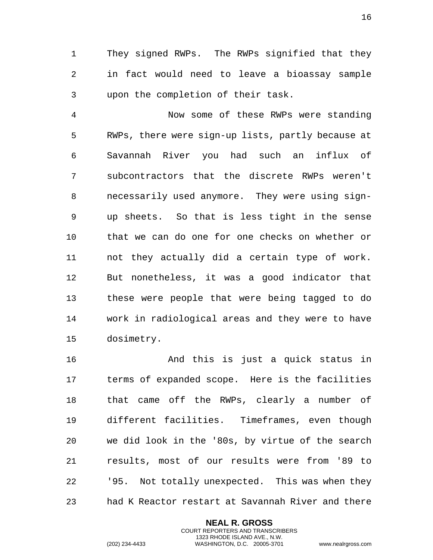1 They signed RWPs. The RWPs signified that they 2 in fact would need to leave a bioassay sample 3 upon the completion of their task.

4 Now some of these RWPs were standing 5 RWPs, there were sign-up lists, partly because at 6 Savannah River you had such an influx of 7 subcontractors that the discrete RWPs weren't 8 necessarily used anymore. They were using sign-9 up sheets. So that is less tight in the sense 10 that we can do one for one checks on whether or 11 not they actually did a certain type of work. 12 But nonetheless, it was a good indicator that 13 these were people that were being tagged to do 14 work in radiological areas and they were to have 15 dosimetry.

16 And this is just a quick status in 17 terms of expanded scope. Here is the facilities 18 that came off the RWPs, clearly a number of 19 different facilities. Timeframes, even though 20 we did look in the '80s, by virtue of the search 21 results, most of our results were from '89 to 22 '95. Not totally unexpected. This was when they 23 had K Reactor restart at Savannah River and there

> **NEAL R. GROSS** COURT REPORTERS AND TRANSCRIBERS 1323 RHODE ISLAND AVE., N.W.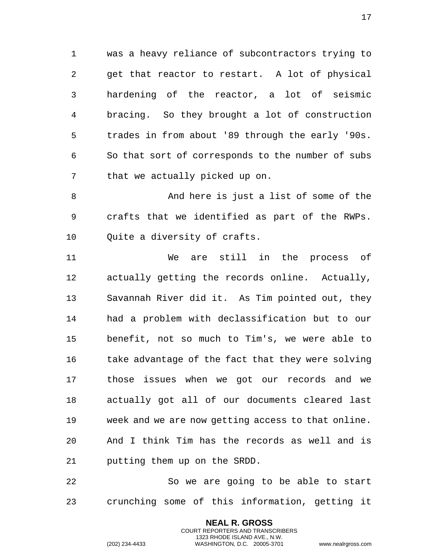1 was a heavy reliance of subcontractors trying to 2 get that reactor to restart. A lot of physical 3 hardening of the reactor, a lot of seismic 4 bracing. So they brought a lot of construction 5 trades in from about '89 through the early '90s. 6 So that sort of corresponds to the number of subs 7 that we actually picked up on.

8 And here is just a list of some of the 9 crafts that we identified as part of the RWPs. 10 Quite a diversity of crafts.

11 We are still in the process of 12 actually getting the records online. Actually, 13 Savannah River did it. As Tim pointed out, they 14 had a problem with declassification but to our 15 benefit, not so much to Tim's, we were able to 16 take advantage of the fact that they were solving 17 those issues when we got our records and we 18 actually got all of our documents cleared last 19 week and we are now getting access to that online. 20 And I think Tim has the records as well and is 21 putting them up on the SRDD.

22 So we are going to be able to start 23 crunching some of this information, getting it

> **NEAL R. GROSS** COURT REPORTERS AND TRANSCRIBERS 1323 RHODE ISLAND AVE., N.W.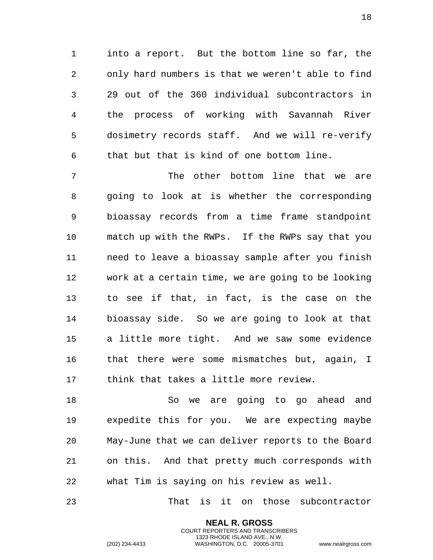into a report. But the bottom line so far, the only hard numbers is that we weren't able to find 29 out of the 360 individual subcontractors in the process of working with Savannah River dosimetry records staff. And we will re-verify that but that is kind of one bottom line.

 The other bottom line that we are going to look at is whether the corresponding bioassay records from a time frame standpoint match up with the RWPs. If the RWPs say that you need to leave a bioassay sample after you finish work at a certain time, we are going to be looking to see if that, in fact, is the case on the bioassay side. So we are going to look at that a little more tight. And we saw some evidence that there were some mismatches but, again, I think that takes a little more review.

 So we are going to go ahead and expedite this for you. We are expecting maybe May-June that we can deliver reports to the Board on this. And that pretty much corresponds with what Tim is saying on his review as well.

That is it on those subcontractor

**NEAL R. GROSS** COURT REPORTERS AND TRANSCRIBERS 1323 RHODE ISLAND AVE., N.W.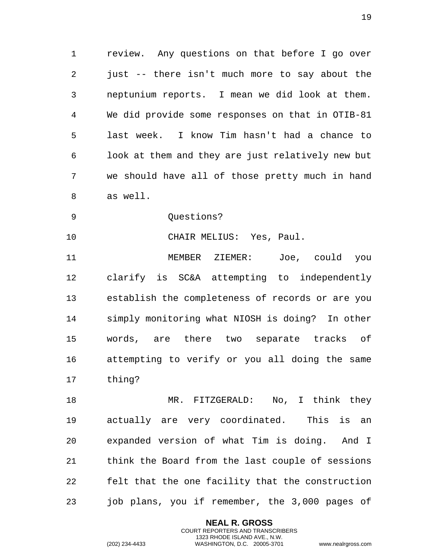review. Any questions on that before I go over just -- there isn't much more to say about the neptunium reports. I mean we did look at them. We did provide some responses on that in OTIB-81 last week. I know Tim hasn't had a chance to look at them and they are just relatively new but we should have all of those pretty much in hand as well.

9 Ouestions?

CHAIR MELIUS: Yes, Paul.

 MEMBER ZIEMER: Joe, could you clarify is SC&A attempting to independently establish the completeness of records or are you simply monitoring what NIOSH is doing? In other words, are there two separate tracks of attempting to verify or you all doing the same thing?

 MR. FITZGERALD: No, I think they actually are very coordinated. This is an expanded version of what Tim is doing. And I think the Board from the last couple of sessions felt that the one facility that the construction job plans, you if remember, the 3,000 pages of

> **NEAL R. GROSS** COURT REPORTERS AND TRANSCRIBERS 1323 RHODE ISLAND AVE., N.W.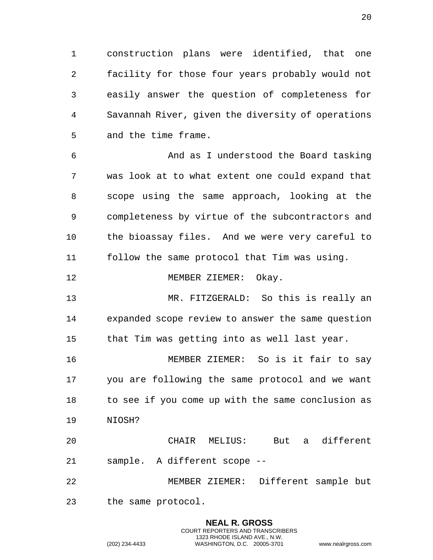construction plans were identified, that one facility for those four years probably would not easily answer the question of completeness for Savannah River, given the diversity of operations and the time frame.

 And as I understood the Board tasking was look at to what extent one could expand that scope using the same approach, looking at the completeness by virtue of the subcontractors and the bioassay files. And we were very careful to follow the same protocol that Tim was using.

## 12 MEMBER ZIEMER: Okay.

 MR. FITZGERALD: So this is really an expanded scope review to answer the same question that Tim was getting into as well last year.

 MEMBER ZIEMER: So is it fair to say you are following the same protocol and we want to see if you come up with the same conclusion as NIOSH?

 CHAIR MELIUS: But a different sample. A different scope --

 MEMBER ZIEMER: Different sample but the same protocol.

> **NEAL R. GROSS** COURT REPORTERS AND TRANSCRIBERS 1323 RHODE ISLAND AVE., N.W.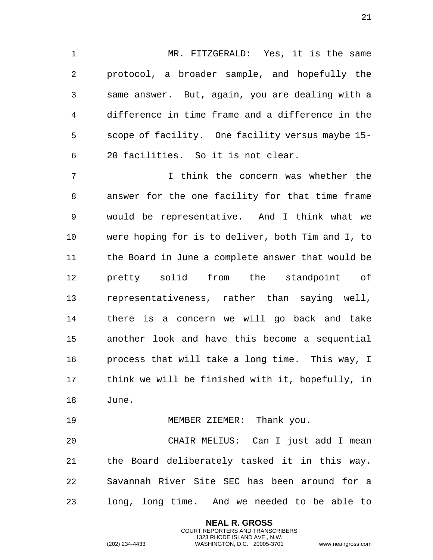MR. FITZGERALD: Yes, it is the same protocol, a broader sample, and hopefully the same answer. But, again, you are dealing with a difference in time frame and a difference in the scope of facility. One facility versus maybe 15- 20 facilities. So it is not clear.

 I think the concern was whether the answer for the one facility for that time frame would be representative. And I think what we were hoping for is to deliver, both Tim and I, to the Board in June a complete answer that would be pretty solid from the standpoint of representativeness, rather than saying well, there is a concern we will go back and take another look and have this become a sequential process that will take a long time. This way, I think we will be finished with it, hopefully, in June.

19 MEMBER ZIEMER: Thank you.

 CHAIR MELIUS: Can I just add I mean the Board deliberately tasked it in this way. Savannah River Site SEC has been around for a long, long time. And we needed to be able to

> **NEAL R. GROSS** COURT REPORTERS AND TRANSCRIBERS 1323 RHODE ISLAND AVE., N.W.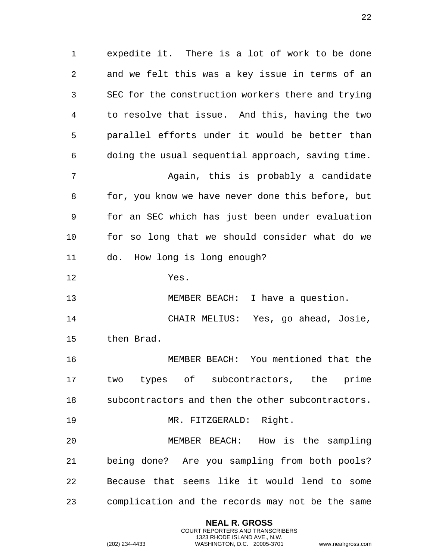1 expedite it. There is a lot of work to be done 2 and we felt this was a key issue in terms of an 3 SEC for the construction workers there and trying 4 to resolve that issue. And this, having the two 5 parallel efforts under it would be better than 6 doing the usual sequential approach, saving time. 7 Again, this is probably a candidate 8 for, you know we have never done this before, but 9 for an SEC which has just been under evaluation 10 for so long that we should consider what do we 11 do. How long is long enough? 12 Yes. 13 MEMBER BEACH: I have a question. 14 CHAIR MELIUS: Yes, go ahead, Josie, 15 then Brad. 16 MEMBER BEACH: You mentioned that the 17 two types of subcontractors, the prime 18 subcontractors and then the other subcontractors. 19 MR. FITZGERALD: Right. 20 MEMBER BEACH: How is the sampling 21 being done? Are you sampling from both pools? 22 Because that seems like it would lend to some 23 complication and the records may not be the same

> **NEAL R. GROSS** COURT REPORTERS AND TRANSCRIBERS 1323 RHODE ISLAND AVE., N.W.

(202) 234-4433 WASHINGTON, D.C. 20005-3701 www.nealrgross.com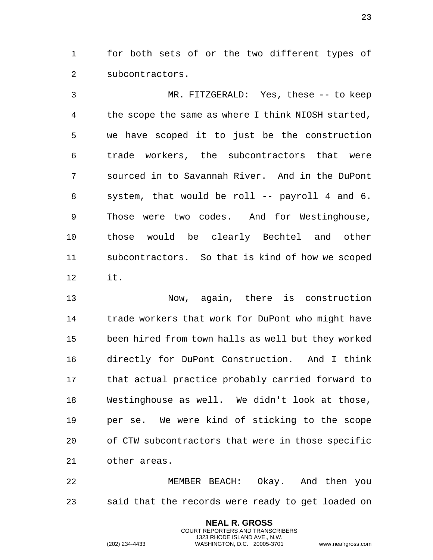1 for both sets of or the two different types of 2 subcontractors.

3 MR. FITZGERALD: Yes, these -- to keep 4 the scope the same as where I think NIOSH started, 5 we have scoped it to just be the construction 6 trade workers, the subcontractors that were 7 sourced in to Savannah River. And in the DuPont 8 system, that would be roll -- payroll 4 and 6. 9 Those were two codes. And for Westinghouse, 10 those would be clearly Bechtel and other 11 subcontractors. So that is kind of how we scoped 12 it.

13 Now, again, there is construction 14 trade workers that work for DuPont who might have 15 been hired from town halls as well but they worked 16 directly for DuPont Construction. And I think 17 that actual practice probably carried forward to 18 Westinghouse as well. We didn't look at those, 19 per se. We were kind of sticking to the scope 20 of CTW subcontractors that were in those specific 21 other areas.

22 MEMBER BEACH: Okay. And then you 23 said that the records were ready to get loaded on

> **NEAL R. GROSS** COURT REPORTERS AND TRANSCRIBERS 1323 RHODE ISLAND AVE., N.W.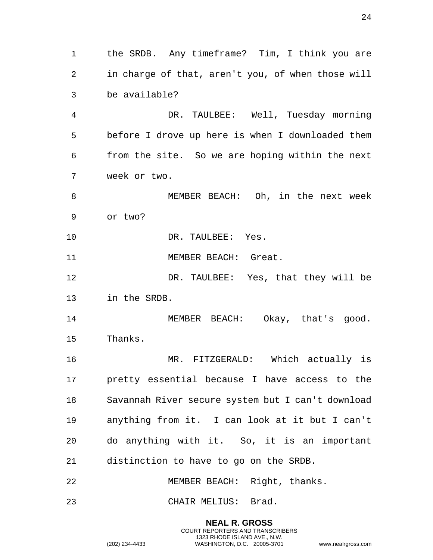**NEAL R. GROSS** COURT REPORTERS AND TRANSCRIBERS 1323 RHODE ISLAND AVE., N.W. (202) 234-4433 WASHINGTON, D.C. 20005-3701 www.nealrgross.com in charge of that, aren't you, of when those will be available? DR. TAULBEE: Well, Tuesday morning before I drove up here is when I downloaded them from the site. So we are hoping within the next week or two. MEMBER BEACH: Oh, in the next week or two? 10 DR. TAULBEE: Yes. 11 MEMBER BEACH: Great. DR. TAULBEE: Yes, that they will be in the SRDB. 14 MEMBER BEACH: Okay, that's good. Thanks. MR. FITZGERALD: Which actually is pretty essential because I have access to the Savannah River secure system but I can't download anything from it. I can look at it but I can't do anything with it. So, it is an important distinction to have to go on the SRDB. 22 MEMBER BEACH: Right, thanks. CHAIR MELIUS: Brad.

the SRDB. Any timeframe? Tim, I think you are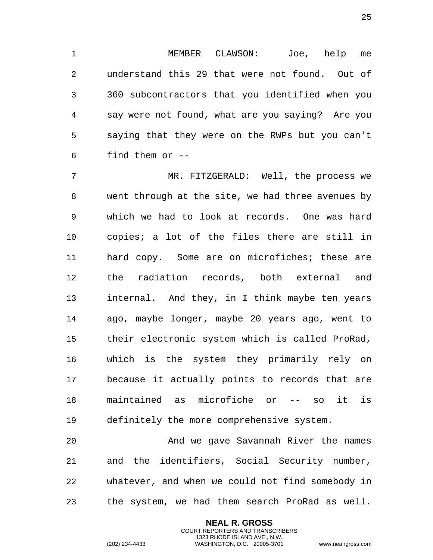MEMBER CLAWSON: Joe, help me understand this 29 that were not found. Out of 360 subcontractors that you identified when you say were not found, what are you saying? Are you saying that they were on the RWPs but you can't find them or --

 MR. FITZGERALD: Well, the process we went through at the site, we had three avenues by which we had to look at records. One was hard copies; a lot of the files there are still in hard copy. Some are on microfiches; these are the radiation records, both external and internal. And they, in I think maybe ten years ago, maybe longer, maybe 20 years ago, went to their electronic system which is called ProRad, which is the system they primarily rely on because it actually points to records that are maintained as microfiche or -- so it is definitely the more comprehensive system.

 And we gave Savannah River the names and the identifiers, Social Security number, whatever, and when we could not find somebody in the system, we had them search ProRad as well.

> **NEAL R. GROSS** COURT REPORTERS AND TRANSCRIBERS 1323 RHODE ISLAND AVE., N.W.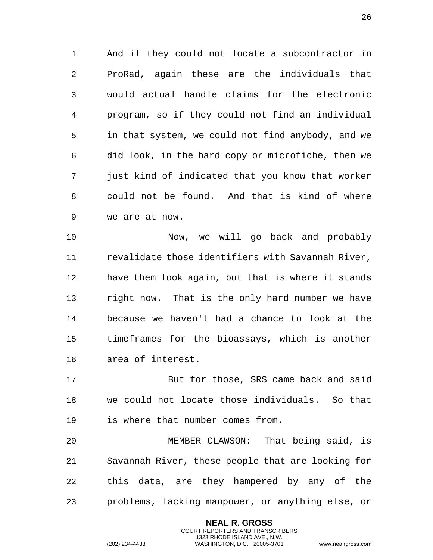And if they could not locate a subcontractor in ProRad, again these are the individuals that would actual handle claims for the electronic program, so if they could not find an individual in that system, we could not find anybody, and we did look, in the hard copy or microfiche, then we just kind of indicated that you know that worker could not be found. And that is kind of where we are at now.

 Now, we will go back and probably revalidate those identifiers with Savannah River, have them look again, but that is where it stands right now. That is the only hard number we have because we haven't had a chance to look at the timeframes for the bioassays, which is another area of interest.

 But for those, SRS came back and said we could not locate those individuals. So that is where that number comes from.

 MEMBER CLAWSON: That being said, is Savannah River, these people that are looking for this data, are they hampered by any of the problems, lacking manpower, or anything else, or

> **NEAL R. GROSS** COURT REPORTERS AND TRANSCRIBERS 1323 RHODE ISLAND AVE., N.W.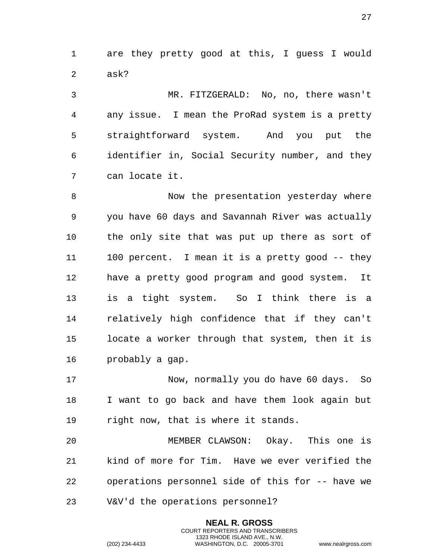1 are they pretty good at this, I guess I would 2 ask?

3 MR. FITZGERALD: No, no, there wasn't 4 any issue. I mean the ProRad system is a pretty 5 straightforward system. And you put the 6 identifier in, Social Security number, and they 7 can locate it.

8 Now the presentation yesterday where 9 you have 60 days and Savannah River was actually 10 the only site that was put up there as sort of 11 100 percent. I mean it is a pretty good -- they 12 have a pretty good program and good system. It 13 is a tight system. So I think there is a 14 relatively high confidence that if they can't 15 locate a worker through that system, then it is 16 probably a gap.

17 Now, normally you do have 60 days. So 18 I want to go back and have them look again but 19 right now, that is where it stands.

20 MEMBER CLAWSON: Okay. This one is 21 kind of more for Tim. Have we ever verified the 22 operations personnel side of this for -- have we 23 V&V'd the operations personnel?

> **NEAL R. GROSS** COURT REPORTERS AND TRANSCRIBERS 1323 RHODE ISLAND AVE., N.W.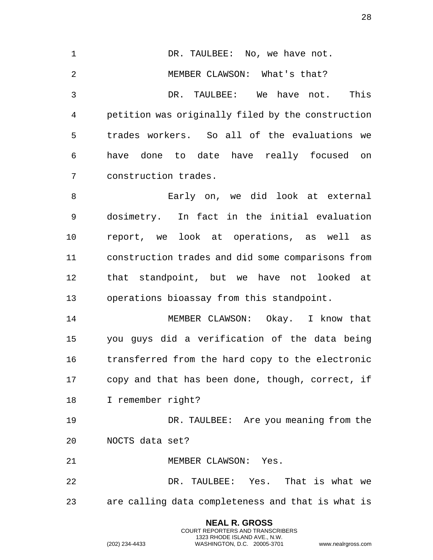**NEAL R. GROSS** 1 DR. TAULBEE: No, we have not. 2 MEMBER CLAWSON: What's that? DR. TAULBEE: We have not. This petition was originally filed by the construction trades workers. So all of the evaluations we have done to date have really focused on construction trades. Early on, we did look at external dosimetry. In fact in the initial evaluation report, we look at operations, as well as construction trades and did some comparisons from that standpoint, but we have not looked at operations bioassay from this standpoint. MEMBER CLAWSON: Okay. I know that you guys did a verification of the data being transferred from the hard copy to the electronic copy and that has been done, though, correct, if I remember right? DR. TAULBEE: Are you meaning from the NOCTS data set? MEMBER CLAWSON: Yes. DR. TAULBEE: Yes. That is what we are calling data completeness and that is what is

> COURT REPORTERS AND TRANSCRIBERS 1323 RHODE ISLAND AVE., N.W.

(202) 234-4433 WASHINGTON, D.C. 20005-3701 www.nealrgross.com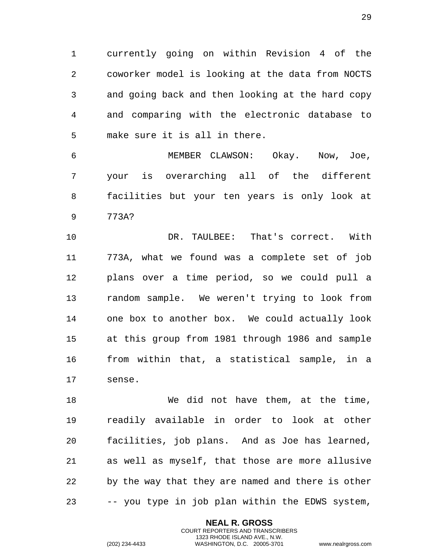1 currently going on within Revision 4 of the 2 coworker model is looking at the data from NOCTS 3 and going back and then looking at the hard copy 4 and comparing with the electronic database to 5 make sure it is all in there.

6 MEMBER CLAWSON: Okay. Now, Joe, 7 your is overarching all of the different 8 facilities but your ten years is only look at 9 773A?

10 DR. TAULBEE: That's correct. With 11 773A, what we found was a complete set of job 12 plans over a time period, so we could pull a 13 random sample. We weren't trying to look from 14 one box to another box. We could actually look 15 at this group from 1981 through 1986 and sample 16 from within that, a statistical sample, in a 17 sense.

18 We did not have them, at the time, 19 readily available in order to look at other 20 facilities, job plans. And as Joe has learned, 21 as well as myself, that those are more allusive 22 by the way that they are named and there is other 23 -- you type in job plan within the EDWS system,

> **NEAL R. GROSS** COURT REPORTERS AND TRANSCRIBERS 1323 RHODE ISLAND AVE., N.W.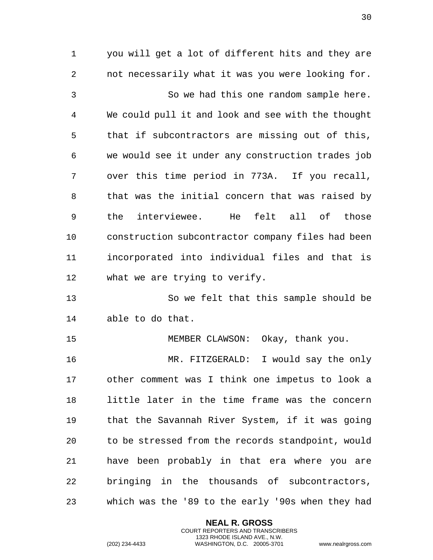1 you will get a lot of different hits and they are 2 not necessarily what it was you were looking for. 3 So we had this one random sample here. 4 We could pull it and look and see with the thought 5 that if subcontractors are missing out of this, 6 we would see it under any construction trades job 7 over this time period in 773A. If you recall, 8 that was the initial concern that was raised by 9 the interviewee. He felt all of those 10 construction subcontractor company files had been 11 incorporated into individual files and that is 12 what we are trying to verify. 13 So we felt that this sample should be 14 able to do that.

15 MEMBER CLAWSON: Okay, thank you.

16 MR. FITZGERALD: I would say the only 17 other comment was I think one impetus to look a 18 little later in the time frame was the concern 19 that the Savannah River System, if it was going 20 to be stressed from the records standpoint, would 21 have been probably in that era where you are 22 bringing in the thousands of subcontractors, 23 which was the '89 to the early '90s when they had

> **NEAL R. GROSS** COURT REPORTERS AND TRANSCRIBERS 1323 RHODE ISLAND AVE., N.W.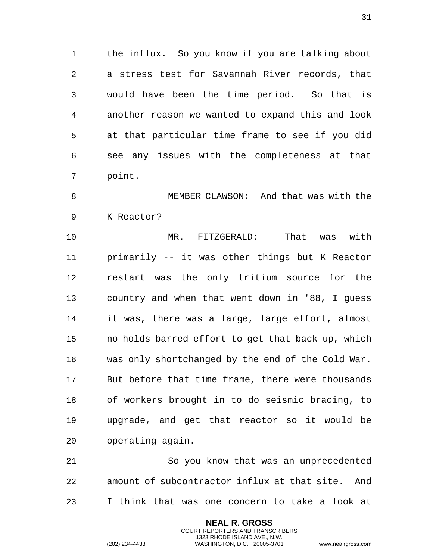the influx. So you know if you are talking about a stress test for Savannah River records, that would have been the time period. So that is another reason we wanted to expand this and look at that particular time frame to see if you did see any issues with the completeness at that point.

 MEMBER CLAWSON: And that was with the K Reactor?

 MR. FITZGERALD: That was with primarily -- it was other things but K Reactor restart was the only tritium source for the country and when that went down in '88, I guess it was, there was a large, large effort, almost no holds barred effort to get that back up, which was only shortchanged by the end of the Cold War. But before that time frame, there were thousands of workers brought in to do seismic bracing, to upgrade, and get that reactor so it would be operating again.

 So you know that was an unprecedented amount of subcontractor influx at that site. And I think that was one concern to take a look at

> **NEAL R. GROSS** COURT REPORTERS AND TRANSCRIBERS 1323 RHODE ISLAND AVE., N.W.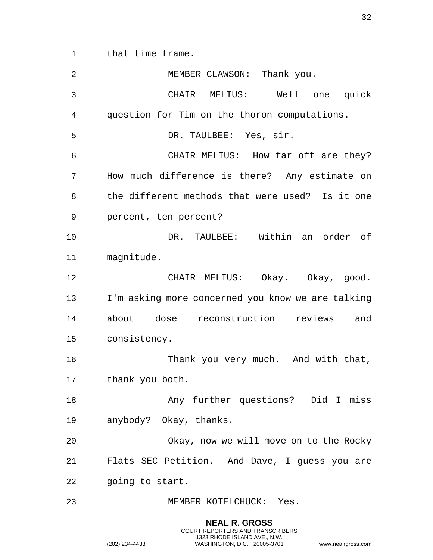that time frame.

| 2  | MEMBER CLAWSON: Thank you.                        |
|----|---------------------------------------------------|
| 3  | CHAIR MELIUS: Well one quick                      |
| 4  | question for Tim on the thoron computations.      |
| 5  | DR. TAULBEE: Yes, sir.                            |
| 6  | CHAIR MELIUS: How far off are they?               |
| 7  | How much difference is there? Any estimate on     |
| 8  | the different methods that were used? Is it one   |
| 9  | percent, ten percent?                             |
| 10 | DR. TAULBEE: Within an order of                   |
| 11 | magnitude.                                        |
| 12 | CHAIR MELIUS: Okay. Okay, good.                   |
| 13 | I'm asking more concerned you know we are talking |
| 14 | about dose reconstruction reviews<br>and          |
| 15 | consistency.                                      |
| 16 | Thank you very much. And with that,               |
| 17 | thank you both.                                   |
| 18 | Any further questions? Did I miss                 |
| 19 | anybody? Okay, thanks.                            |
| 20 | Okay, now we will move on to the Rocky            |
| 21 | Flats SEC Petition. And Dave, I guess you are     |
| 22 | going to start.                                   |
| 23 | MEMBER KOTELCHUCK: Yes.                           |

**NEAL R. GROSS** COURT REPORTERS AND TRANSCRIBERS 1323 RHODE ISLAND AVE., N.W.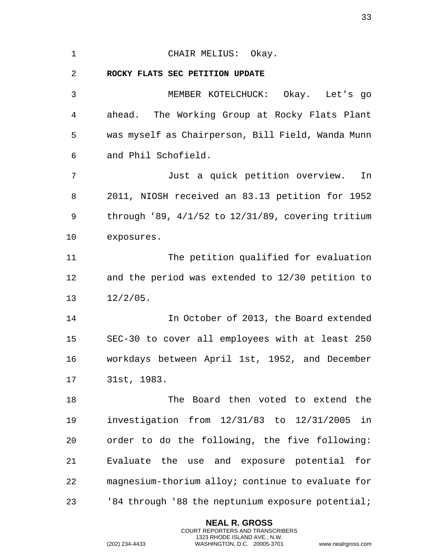<span id="page-32-0"></span>

| $\mathbf 1$ | CHAIR MELIUS: Okay.                                       |
|-------------|-----------------------------------------------------------|
| 2           | ROCKY FLATS SEC PETITION UPDATE                           |
| 3           | MEMBER KOTELCHUCK: Okay. Let's go                         |
| 4           | ahead. The Working Group at Rocky Flats Plant             |
| 5           | was myself as Chairperson, Bill Field, Wanda Munn         |
| 6           | and Phil Schofield.                                       |
| 7           | Just a quick petition overview.<br>In                     |
| 8           | 2011, NIOSH received an 83.13 petition for 1952           |
| 9           | through $'89$ , $4/1/52$ to $12/31/89$ , covering tritium |
| 10          | exposures.                                                |
| 11          | The petition qualified for evaluation                     |
| 12          | and the period was extended to 12/30 petition to          |
| 13          | $12/2/05$ .                                               |
| 14          | In October of 2013, the Board extended                    |
| 15          | SEC-30 to cover all employees with at least 250           |
| 16          | workdays between April 1st, 1952, and December            |
| 17          | 31st, 1983.                                               |
| 18          | The Board then voted to extend the                        |
| 19          | investigation from 12/31/83 to 12/31/2005<br>in           |
| 20          | order to do the following, the five following:            |
| 21          | Evaluate the use and exposure potential<br>for            |
| 22          | magnesium-thorium alloy; continue to evaluate for         |
| 23          | '84 through '88 the neptunium exposure potential;         |

**NEAL R. GROSS** COURT REPORTERS AND TRANSCRIBERS 1323 RHODE ISLAND AVE., N.W.

(202) 234-4433 WASHINGTON, D.C. 20005-3701 www.nealrgross.com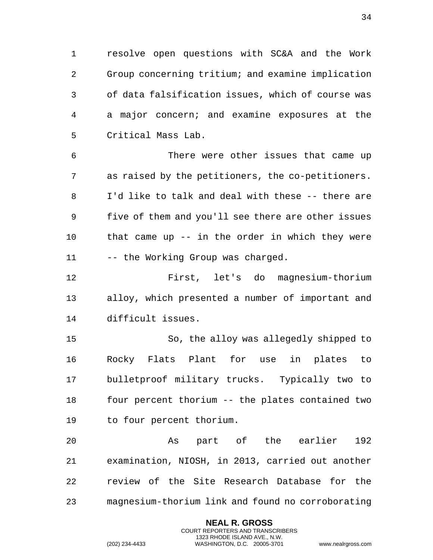1 resolve open questions with SC&A and the Work 2 Group concerning tritium; and examine implication 3 of data falsification issues, which of course was 4 a major concern; and examine exposures at the 5 Critical Mass Lab.

6 There were other issues that came up 7 as raised by the petitioners, the co-petitioners. 8 I'd like to talk and deal with these -- there are 9 five of them and you'll see there are other issues 10 that came up -- in the order in which they were 11 -- the Working Group was charged.

12 First, let's do magnesium-thorium 13 alloy, which presented a number of important and 14 difficult issues.

15 So, the alloy was allegedly shipped to 16 Rocky Flats Plant for use in plates to 17 bulletproof military trucks. Typically two to 18 four percent thorium -- the plates contained two 19 to four percent thorium.

20 As part of the earlier 192 21 examination, NIOSH, in 2013, carried out another 22 review of the Site Research Database for the 23 magnesium-thorium link and found no corroborating

> **NEAL R. GROSS** COURT REPORTERS AND TRANSCRIBERS 1323 RHODE ISLAND AVE., N.W.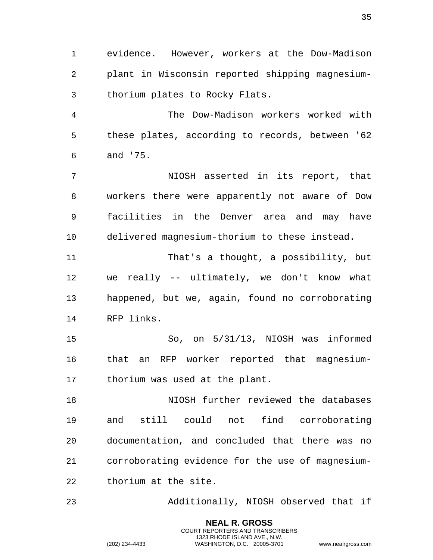evidence. However, workers at the Dow-Madison plant in Wisconsin reported shipping magnesium-thorium plates to Rocky Flats.

 The Dow-Madison workers worked with these plates, according to records, between '62 and '75.

 NIOSH asserted in its report, that workers there were apparently not aware of Dow facilities in the Denver area and may have delivered magnesium-thorium to these instead.

 That's a thought, a possibility, but we really -- ultimately, we don't know what happened, but we, again, found no corroborating RFP links.

 So, on 5/31/13, NIOSH was informed that an RFP worker reported that magnesium-thorium was used at the plant.

 NIOSH further reviewed the databases and still could not find corroborating documentation, and concluded that there was no corroborating evidence for the use of magnesium-thorium at the site.

Additionally, NIOSH observed that if

**NEAL R. GROSS** COURT REPORTERS AND TRANSCRIBERS 1323 RHODE ISLAND AVE., N.W.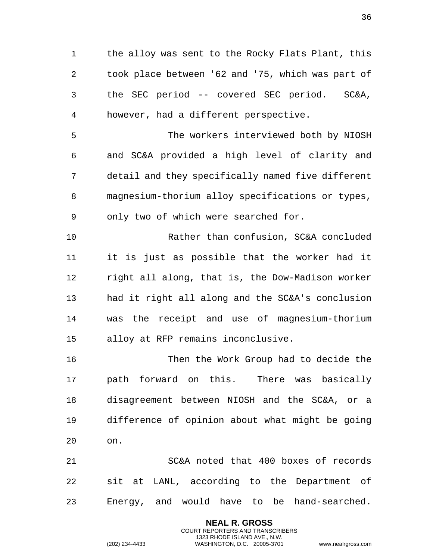1 the alloy was sent to the Rocky Flats Plant, this took place between '62 and '75, which was part of the SEC period -- covered SEC period. SC&A, however, had a different perspective.

 The workers interviewed both by NIOSH and SC&A provided a high level of clarity and detail and they specifically named five different magnesium-thorium alloy specifications or types, only two of which were searched for.

 Rather than confusion, SC&A concluded it is just as possible that the worker had it right all along, that is, the Dow-Madison worker had it right all along and the SC&A's conclusion was the receipt and use of magnesium-thorium alloy at RFP remains inconclusive.

 Then the Work Group had to decide the path forward on this. There was basically disagreement between NIOSH and the SC&A, or a difference of opinion about what might be going on.

 SC&A noted that 400 boxes of records sit at LANL, according to the Department of Energy, and would have to be hand-searched.

> **NEAL R. GROSS** COURT REPORTERS AND TRANSCRIBERS 1323 RHODE ISLAND AVE., N.W.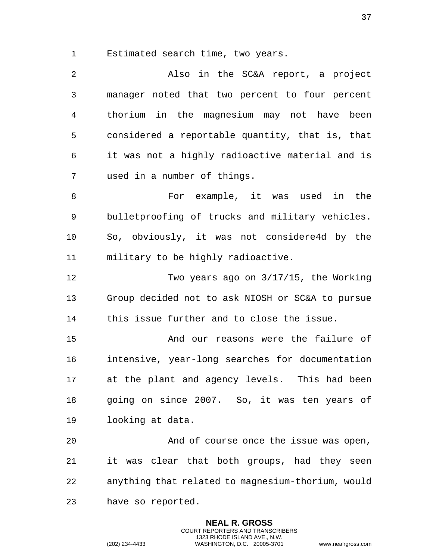Estimated search time, two years.

 Also in the SC&A report, a project manager noted that two percent to four percent thorium in the magnesium may not have been considered a reportable quantity, that is, that it was not a highly radioactive material and is used in a number of things. For example, it was used in the bulletproofing of trucks and military vehicles. So, obviously, it was not considere4d by the military to be highly radioactive. Two years ago on 3/17/15, the Working Group decided not to ask NIOSH or SC&A to pursue

this issue further and to close the issue.

 And our reasons were the failure of intensive, year-long searches for documentation at the plant and agency levels. This had been going on since 2007. So, it was ten years of looking at data.

 And of course once the issue was open, it was clear that both groups, had they seen anything that related to magnesium-thorium, would have so reported.

> **NEAL R. GROSS** COURT REPORTERS AND TRANSCRIBERS 1323 RHODE ISLAND AVE., N.W.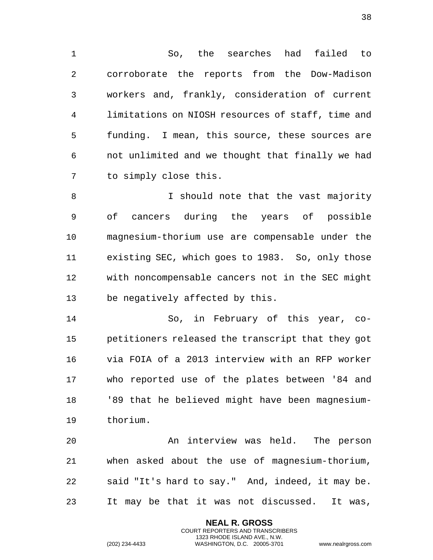1 So, the searches had failed to 2 corroborate the reports from the Dow-Madison 3 workers and, frankly, consideration of current 4 limitations on NIOSH resources of staff, time and 5 funding. I mean, this source, these sources are 6 not unlimited and we thought that finally we had 7 to simply close this.

8 I should note that the vast majority 9 of cancers during the years of possible 10 magnesium-thorium use are compensable under the 11 existing SEC, which goes to 1983. So, only those 12 with noncompensable cancers not in the SEC might 13 be negatively affected by this.

14 So, in February of this year, co-15 petitioners released the transcript that they got 16 via FOIA of a 2013 interview with an RFP worker 17 who reported use of the plates between '84 and 18 '89 that he believed might have been magnesium-19 thorium.

20 An interview was held. The person 21 when asked about the use of magnesium-thorium, 22 said "It's hard to say." And, indeed, it may be. 23 It may be that it was not discussed. It was,

> **NEAL R. GROSS** COURT REPORTERS AND TRANSCRIBERS 1323 RHODE ISLAND AVE., N.W.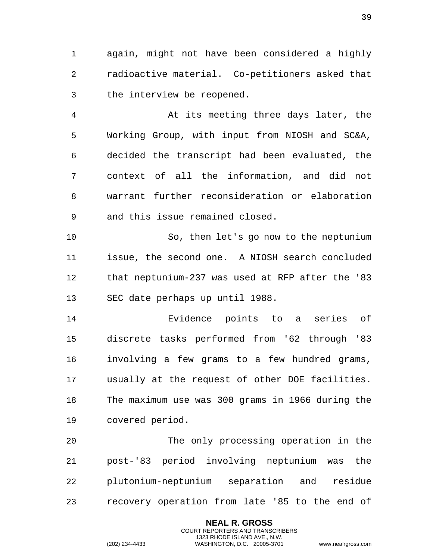1 again, might not have been considered a highly 2 radioactive material. Co-petitioners asked that 3 the interview be reopened.

4 At its meeting three days later, the 5 Working Group, with input from NIOSH and SC&A, 6 decided the transcript had been evaluated, the 7 context of all the information, and did not 8 warrant further reconsideration or elaboration 9 and this issue remained closed.

10 So, then let's go now to the neptunium 11 issue, the second one. A NIOSH search concluded 12 that neptunium-237 was used at RFP after the '83 13 SEC date perhaps up until 1988.

14 Evidence points to a series of 15 discrete tasks performed from '62 through '83 16 involving a few grams to a few hundred grams, 17 usually at the request of other DOE facilities. 18 The maximum use was 300 grams in 1966 during the 19 covered period.

20 The only processing operation in the 21 post-'83 period involving neptunium was the 22 plutonium-neptunium separation and residue 23 recovery operation from late '85 to the end of

> **NEAL R. GROSS** COURT REPORTERS AND TRANSCRIBERS 1323 RHODE ISLAND AVE., N.W.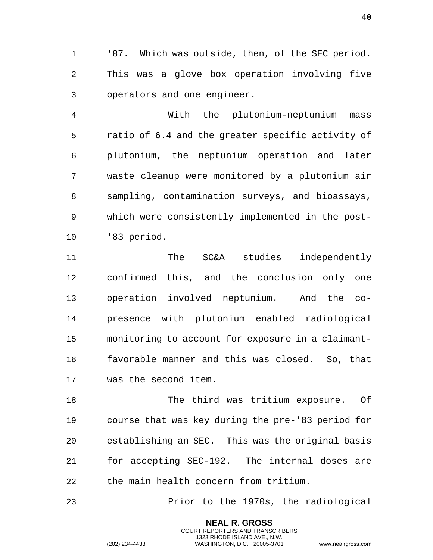'87. Which was outside, then, of the SEC period. This was a glove box operation involving five operators and one engineer.

 With the plutonium-neptunium mass ratio of 6.4 and the greater specific activity of plutonium, the neptunium operation and later waste cleanup were monitored by a plutonium air sampling, contamination surveys, and bioassays, which were consistently implemented in the post-'83 period.

 The SC&A studies independently confirmed this, and the conclusion only one operation involved neptunium. And the co- presence with plutonium enabled radiological monitoring to account for exposure in a claimant- favorable manner and this was closed. So, that was the second item.

 The third was tritium exposure. Of course that was key during the pre-'83 period for establishing an SEC. This was the original basis for accepting SEC-192. The internal doses are the main health concern from tritium.

Prior to the 1970s, the radiological

**NEAL R. GROSS** COURT REPORTERS AND TRANSCRIBERS 1323 RHODE ISLAND AVE., N.W.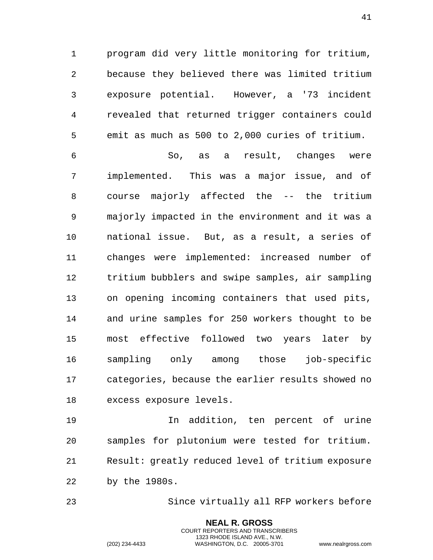1 program did very little monitoring for tritium, 2 because they believed there was limited tritium 3 exposure potential. However, a '73 incident 4 revealed that returned trigger containers could 5 emit as much as 500 to 2,000 curies of tritium.

6 So, as a result, changes were 7 implemented. This was a major issue, and of 8 course majorly affected the -- the tritium 9 majorly impacted in the environment and it was a 10 national issue. But, as a result, a series of 11 changes were implemented: increased number of 12 tritium bubblers and swipe samples, air sampling 13 on opening incoming containers that used pits, 14 and urine samples for 250 workers thought to be 15 most effective followed two years later by 16 sampling only among those job-specific 17 categories, because the earlier results showed no 18 excess exposure levels.

19 In addition, ten percent of urine 20 samples for plutonium were tested for tritium. 21 Result: greatly reduced level of tritium exposure 22 by the 1980s.

23 Since virtually all RFP workers before

**NEAL R. GROSS** COURT REPORTERS AND TRANSCRIBERS 1323 RHODE ISLAND AVE., N.W.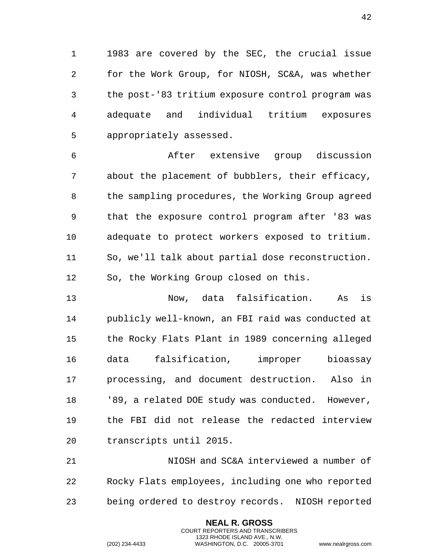1 1983 are covered by the SEC, the crucial issue 2 for the Work Group, for NIOSH, SC&A, was whether 3 the post-'83 tritium exposure control program was 4 adequate and individual tritium exposures 5 appropriately assessed.

6 After extensive group discussion 7 about the placement of bubblers, their efficacy, 8 the sampling procedures, the Working Group agreed 9 that the exposure control program after '83 was 10 adequate to protect workers exposed to tritium. 11 So, we'll talk about partial dose reconstruction. 12 So, the Working Group closed on this.

13 Now, data falsification. As is 14 publicly well-known, an FBI raid was conducted at 15 the Rocky Flats Plant in 1989 concerning alleged 16 data falsification, improper bioassay 17 processing, and document destruction. Also in 18 '89, a related DOE study was conducted. However, 19 the FBI did not release the redacted interview 20 transcripts until 2015.

21 NIOSH and SC&A interviewed a number of 22 Rocky Flats employees, including one who reported 23 being ordered to destroy records. NIOSH reported

> **NEAL R. GROSS** COURT REPORTERS AND TRANSCRIBERS 1323 RHODE ISLAND AVE., N.W.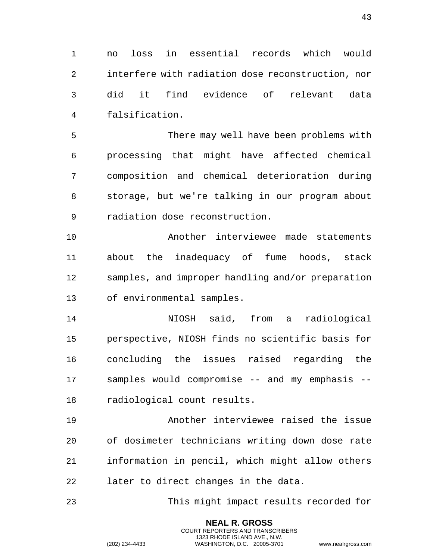1 no loss in essential records which would 2 interfere with radiation dose reconstruction, nor 3 did it find evidence of relevant data 4 falsification.

5 There may well have been problems with 6 processing that might have affected chemical 7 composition and chemical deterioration during 8 storage, but we're talking in our program about 9 radiation dose reconstruction.

10 Another interviewee made statements 11 about the inadequacy of fume hoods, stack 12 samples, and improper handling and/or preparation 13 of environmental samples.

14 NIOSH said, from a radiological 15 perspective, NIOSH finds no scientific basis for 16 concluding the issues raised regarding the 17 samples would compromise -- and my emphasis -- 18 radiological count results.

19 Another interviewee raised the issue 20 of dosimeter technicians writing down dose rate 21 information in pencil, which might allow others 22 later to direct changes in the data.

23 This might impact results recorded for

**NEAL R. GROSS** COURT REPORTERS AND TRANSCRIBERS 1323 RHODE ISLAND AVE., N.W.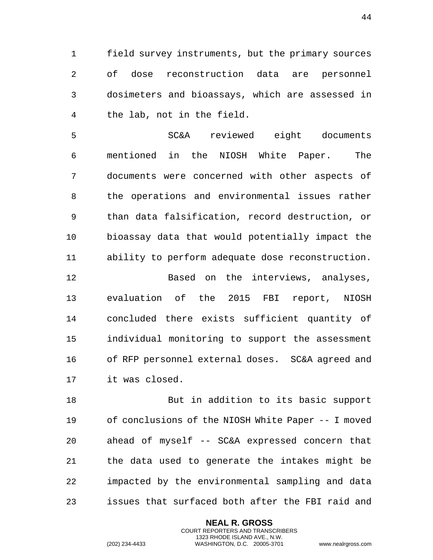1 field survey instruments, but the primary sources 2 of dose reconstruction data are personnel 3 dosimeters and bioassays, which are assessed in 4 the lab, not in the field.

5 SC&A reviewed eight documents 6 mentioned in the NIOSH White Paper. The 7 documents were concerned with other aspects of 8 the operations and environmental issues rather 9 than data falsification, record destruction, or 10 bioassay data that would potentially impact the 11 ability to perform adequate dose reconstruction.

12 Based on the interviews, analyses, 13 evaluation of the 2015 FBI report, NIOSH 14 concluded there exists sufficient quantity of 15 individual monitoring to support the assessment 16 of RFP personnel external doses. SC&A agreed and 17 it was closed.

18 But in addition to its basic support 19 of conclusions of the NIOSH White Paper -- I moved 20 ahead of myself -- SC&A expressed concern that 21 the data used to generate the intakes might be 22 impacted by the environmental sampling and data 23 issues that surfaced both after the FBI raid and

> **NEAL R. GROSS** COURT REPORTERS AND TRANSCRIBERS 1323 RHODE ISLAND AVE., N.W.

(202) 234-4433 WASHINGTON, D.C. 20005-3701 www.nealrgross.com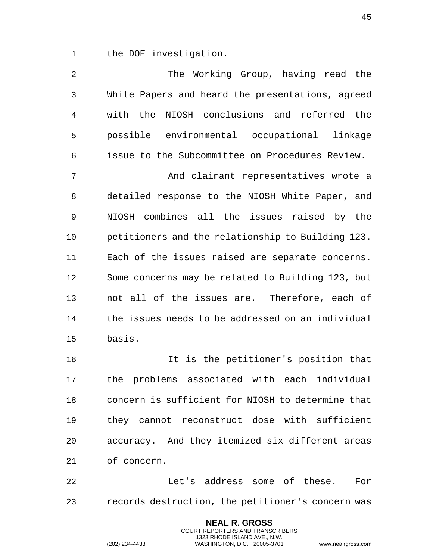1 the DOE investigation.

| 2  | The Working Group, having read the                |
|----|---------------------------------------------------|
| 3  | White Papers and heard the presentations, agreed  |
| 4  | with the<br>NIOSH conclusions and referred the    |
| 5  | possible environmental occupational linkage       |
| 6  | issue to the Subcommittee on Procedures Review.   |
| 7  | And claimant representatives wrote a              |
| 8  | detailed response to the NIOSH White Paper, and   |
| 9  | NIOSH combines all the issues raised by the       |
| 10 | petitioners and the relationship to Building 123. |
| 11 | Each of the issues raised are separate concerns.  |
| 12 | Some concerns may be related to Building 123, but |
| 13 | not all of the issues are. Therefore, each of     |
| 14 | the issues needs to be addressed on an individual |
| 15 | basis.                                            |
| 16 | It is the petitioner's position that              |
| 17 | the problems associated with each individual      |
| 18 | concern is sufficient for NIOSH to determine that |
| 19 | they cannot reconstruct dose with sufficient      |
| 20 | accuracy. And they itemized six different areas   |
| 21 | of concern.                                       |

22 Let's address some of these. For 23 records destruction, the petitioner's concern was

> **NEAL R. GROSS** COURT REPORTERS AND TRANSCRIBERS 1323 RHODE ISLAND AVE., N.W.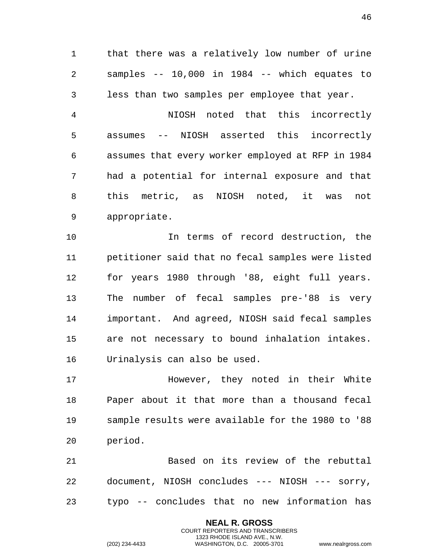1 that there was a relatively low number of urine 2 samples -- 10,000 in 1984 -- which equates to 3 less than two samples per employee that year.

4 NIOSH noted that this incorrectly 5 assumes -- NIOSH asserted this incorrectly 6 assumes that every worker employed at RFP in 1984 7 had a potential for internal exposure and that 8 this metric, as NIOSH noted, it was not 9 appropriate.

10 In terms of record destruction, the 11 petitioner said that no fecal samples were listed 12 for years 1980 through '88, eight full years. 13 The number of fecal samples pre-'88 is very 14 important. And agreed, NIOSH said fecal samples 15 are not necessary to bound inhalation intakes. 16 Urinalysis can also be used.

17 **However, they noted in their White** 18 Paper about it that more than a thousand fecal 19 sample results were available for the 1980 to '88 20 period.

21 Based on its review of the rebuttal 22 document, NIOSH concludes --- NIOSH --- sorry, 23 typo -- concludes that no new information has

> **NEAL R. GROSS** COURT REPORTERS AND TRANSCRIBERS 1323 RHODE ISLAND AVE., N.W.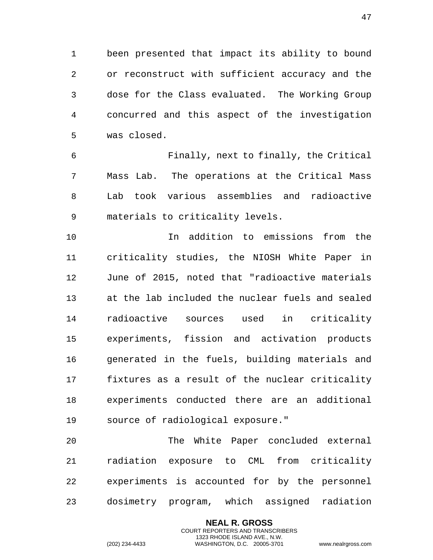been presented that impact its ability to bound or reconstruct with sufficient accuracy and the dose for the Class evaluated. The Working Group concurred and this aspect of the investigation was closed.

 Finally, next to finally, the Critical Mass Lab. The operations at the Critical Mass Lab took various assemblies and radioactive materials to criticality levels.

 In addition to emissions from the criticality studies, the NIOSH White Paper in June of 2015, noted that "radioactive materials at the lab included the nuclear fuels and sealed radioactive sources used in criticality experiments, fission and activation products generated in the fuels, building materials and fixtures as a result of the nuclear criticality experiments conducted there are an additional source of radiological exposure."

 The White Paper concluded external radiation exposure to CML from criticality experiments is accounted for by the personnel dosimetry program, which assigned radiation

> **NEAL R. GROSS** COURT REPORTERS AND TRANSCRIBERS 1323 RHODE ISLAND AVE., N.W.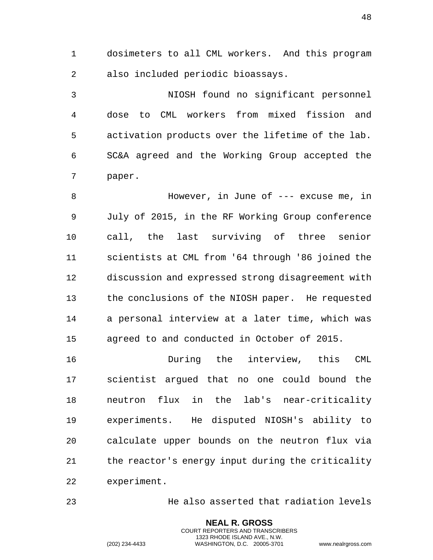1 dosimeters to all CML workers. And this program 2 also included periodic bioassays.

3 NIOSH found no significant personnel 4 dose to CML workers from mixed fission and 5 activation products over the lifetime of the lab. 6 SC&A agreed and the Working Group accepted the 7 paper.

8 However, in June of --- excuse me, in 9 July of 2015, in the RF Working Group conference 10 call, the last surviving of three senior 11 scientists at CML from '64 through '86 joined the 12 discussion and expressed strong disagreement with 13 the conclusions of the NIOSH paper. He requested 14 a personal interview at a later time, which was 15 agreed to and conducted in October of 2015.

16 During the interview, this CML 17 scientist argued that no one could bound the 18 neutron flux in the lab's near-criticality 19 experiments. He disputed NIOSH's ability to 20 calculate upper bounds on the neutron flux via 21 the reactor's energy input during the criticality 22 experiment.

23 He also asserted that radiation levels

**NEAL R. GROSS** COURT REPORTERS AND TRANSCRIBERS 1323 RHODE ISLAND AVE., N.W.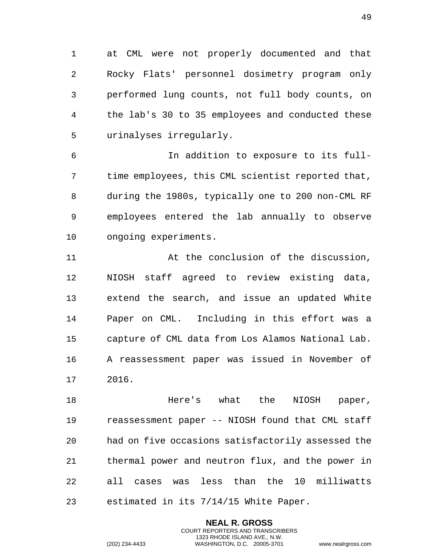1 at CML were not properly documented and that 2 Rocky Flats' personnel dosimetry program only 3 performed lung counts, not full body counts, on 4 the lab's 30 to 35 employees and conducted these 5 urinalyses irregularly.

6 In addition to exposure to its full-7 time employees, this CML scientist reported that, 8 during the 1980s, typically one to 200 non-CML RF 9 employees entered the lab annually to observe 10 ongoing experiments.

11 At the conclusion of the discussion, 12 NIOSH staff agreed to review existing data, 13 extend the search, and issue an updated White 14 Paper on CML. Including in this effort was a 15 capture of CML data from Los Alamos National Lab. 16 A reassessment paper was issued in November of 17 2016.

18 Here's what the NIOSH paper, 19 reassessment paper -- NIOSH found that CML staff 20 had on five occasions satisfactorily assessed the 21 thermal power and neutron flux, and the power in 22 all cases was less than the 10 milliwatts 23 estimated in its 7/14/15 White Paper.

> **NEAL R. GROSS** COURT REPORTERS AND TRANSCRIBERS 1323 RHODE ISLAND AVE., N.W.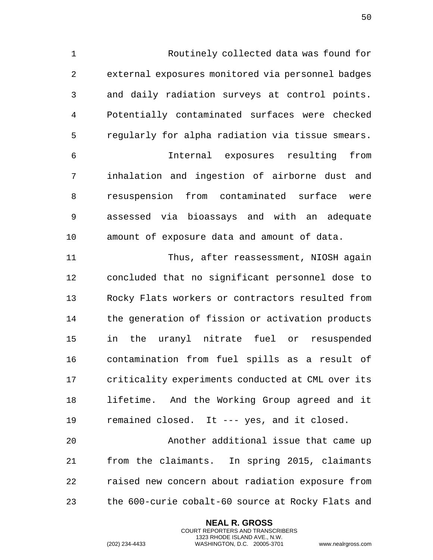Routinely collected data was found for external exposures monitored via personnel badges and daily radiation surveys at control points. Potentially contaminated surfaces were checked regularly for alpha radiation via tissue smears. Internal exposures resulting from inhalation and ingestion of airborne dust and resuspension from contaminated surface were assessed via bioassays and with an adequate amount of exposure data and amount of data.

 Thus, after reassessment, NIOSH again concluded that no significant personnel dose to Rocky Flats workers or contractors resulted from the generation of fission or activation products in the uranyl nitrate fuel or resuspended contamination from fuel spills as a result of criticality experiments conducted at CML over its lifetime. And the Working Group agreed and it remained closed. It --- yes, and it closed.

 Another additional issue that came up from the claimants. In spring 2015, claimants raised new concern about radiation exposure from the 600-curie cobalt-60 source at Rocky Flats and

> **NEAL R. GROSS** COURT REPORTERS AND TRANSCRIBERS 1323 RHODE ISLAND AVE., N.W.

(202) 234-4433 WASHINGTON, D.C. 20005-3701 www.nealrgross.com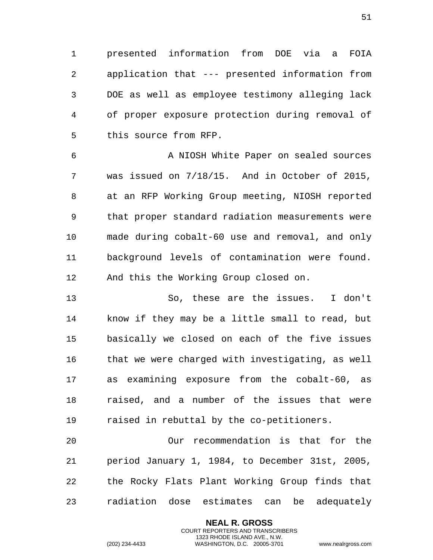1 presented information from DOE via a FOIA 2 application that --- presented information from 3 DOE as well as employee testimony alleging lack 4 of proper exposure protection during removal of 5 this source from RFP.

6 A NIOSH White Paper on sealed sources 7 was issued on 7/18/15. And in October of 2015, 8 at an RFP Working Group meeting, NIOSH reported 9 that proper standard radiation measurements were 10 made during cobalt-60 use and removal, and only 11 background levels of contamination were found. 12 And this the Working Group closed on.

13 So, these are the issues. I don't 14 know if they may be a little small to read, but 15 basically we closed on each of the five issues 16 that we were charged with investigating, as well 17 as examining exposure from the cobalt-60, as 18 raised, and a number of the issues that were 19 raised in rebuttal by the co-petitioners.

20 Our recommendation is that for the 21 period January 1, 1984, to December 31st, 2005, 22 the Rocky Flats Plant Working Group finds that 23 radiation dose estimates can be adequately

> **NEAL R. GROSS** COURT REPORTERS AND TRANSCRIBERS 1323 RHODE ISLAND AVE., N.W.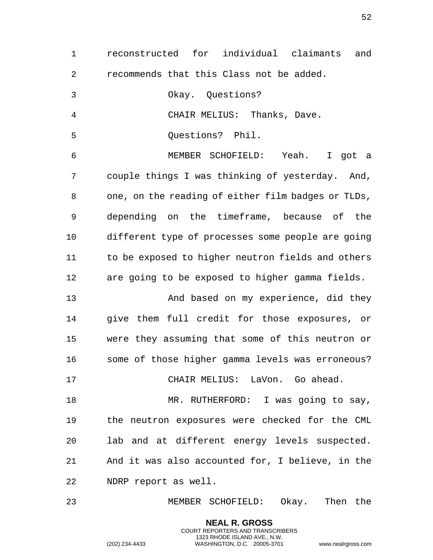| $\mathbf 1$    | reconstructed for individual claimants<br>and      |
|----------------|----------------------------------------------------|
| 2              | recommends that this Class not be added.           |
| $\mathfrak{Z}$ | Okay. Questions?                                   |
| $\overline{4}$ | CHAIR MELIUS: Thanks, Dave.                        |
| 5              | Questions? Phil.                                   |
| 6              | MEMBER SCHOFIELD: Yeah. I got a                    |
| 7              | couple things I was thinking of yesterday. And,    |
| 8              | one, on the reading of either film badges or TLDs, |
| 9              | depending on the timeframe, because of the         |
| 10             | different type of processes some people are going  |
| 11             | to be exposed to higher neutron fields and others  |
| 12             | are going to be exposed to higher gamma fields.    |
| 13             | And based on my experience, did they               |
| 14             | give them full credit for those exposures, or      |
| 15             | were they assuming that some of this neutron or    |
| 16             | some of those higher gamma levels was erroneous?   |
| 17             | CHAIR MELIUS: LaVon. Go ahead.                     |
| 18             | MR. RUTHERFORD: I was going to say,                |
| 19             | the neutron exposures were checked for the CML     |
| 20             | lab and at different energy levels suspected.      |
| 21             | And it was also accounted for, I believe, in the   |
| 22             | NDRP report as well.                               |
| 23             | MEMBER SCHOFIELD: Okay. Then the                   |

**NEAL R. GROSS** COURT REPORTERS AND TRANSCRIBERS 1323 RHODE ISLAND AVE., N.W.

(202) 234-4433 WASHINGTON, D.C. 20005-3701 www.nealrgross.com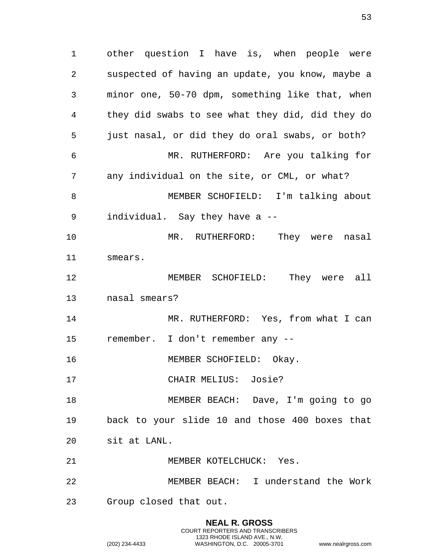other question I have is, when people were suspected of having an update, you know, maybe a minor one, 50-70 dpm, something like that, when they did swabs to see what they did, did they do just nasal, or did they do oral swabs, or both? MR. RUTHERFORD: Are you talking for any individual on the site, or CML, or what? MEMBER SCHOFIELD: I'm talking about individual. Say they have a -- MR. RUTHERFORD: They were nasal smears. MEMBER SCHOFIELD: They were all nasal smears? MR. RUTHERFORD: Yes, from what I can remember. I don't remember any -- 16 MEMBER SCHOFIELD: Okay. CHAIR MELIUS: Josie? MEMBER BEACH: Dave, I'm going to go back to your slide 10 and those 400 boxes that sit at LANL. MEMBER KOTELCHUCK: Yes. MEMBER BEACH: I understand the Work Group closed that out.

> **NEAL R. GROSS** COURT REPORTERS AND TRANSCRIBERS 1323 RHODE ISLAND AVE., N.W.

(202) 234-4433 WASHINGTON, D.C. 20005-3701 www.nealrgross.com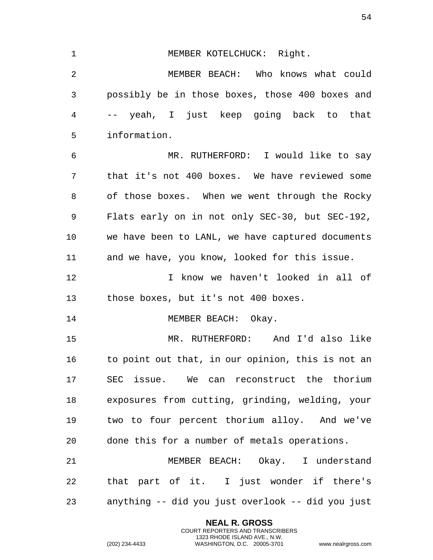1 MEMBER KOTELCHUCK: Right. MEMBER BEACH: Who knows what could possibly be in those boxes, those 400 boxes and -- yeah, I just keep going back to that information. MR. RUTHERFORD: I would like to say that it's not 400 boxes. We have reviewed some of those boxes. When we went through the Rocky Flats early on in not only SEC-30, but SEC-192, we have been to LANL, we have captured documents and we have, you know, looked for this issue. I know we haven't looked in all of those boxes, but it's not 400 boxes. 14 MEMBER BEACH: Okay. MR. RUTHERFORD: And I'd also like to point out that, in our opinion, this is not an SEC issue. We can reconstruct the thorium exposures from cutting, grinding, welding, your two to four percent thorium alloy. And we've done this for a number of metals operations. MEMBER BEACH: Okay. I understand that part of it. I just wonder if there's

> **NEAL R. GROSS** COURT REPORTERS AND TRANSCRIBERS 1323 RHODE ISLAND AVE., N.W.

anything -- did you just overlook -- did you just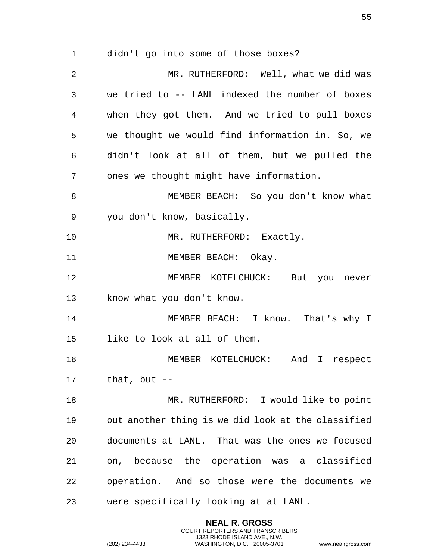didn't go into some of those boxes?

 MR. RUTHERFORD: Well, what we did was we tried to -- LANL indexed the number of boxes when they got them. And we tried to pull boxes we thought we would find information in. So, we didn't look at all of them, but we pulled the ones we thought might have information. MEMBER BEACH: So you don't know what you don't know, basically. 10 MR. RUTHERFORD: Exactly. 11 MEMBER BEACH: Okay. MEMBER KOTELCHUCK: But you never know what you don't know. 14 MEMBER BEACH: I know. That's why I like to look at all of them. MEMBER KOTELCHUCK: And I respect that, but  $-$  MR. RUTHERFORD: I would like to point out another thing is we did look at the classified documents at LANL. That was the ones we focused on, because the operation was a classified operation. And so those were the documents we were specifically looking at at LANL.

> **NEAL R. GROSS** COURT REPORTERS AND TRANSCRIBERS 1323 RHODE ISLAND AVE., N.W.

(202) 234-4433 WASHINGTON, D.C. 20005-3701 www.nealrgross.com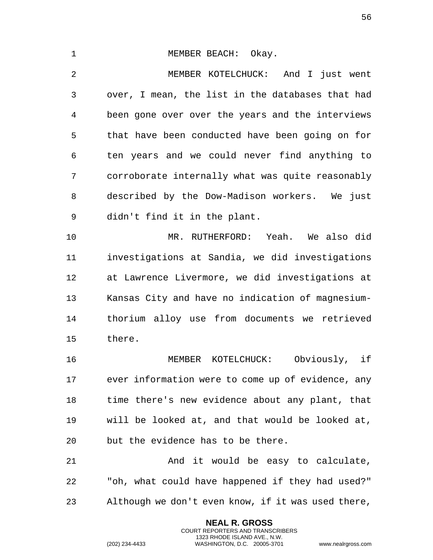1 MEMBER BEACH: Okay. MEMBER KOTELCHUCK: And I just went over, I mean, the list in the databases that had been gone over over the years and the interviews that have been conducted have been going on for ten years and we could never find anything to corroborate internally what was quite reasonably described by the Dow-Madison workers. We just didn't find it in the plant. MR. RUTHERFORD: Yeah. We also did investigations at Sandia, we did investigations at Lawrence Livermore, we did investigations at Kansas City and have no indication of magnesium- thorium alloy use from documents we retrieved there. MEMBER KOTELCHUCK: Obviously, if ever information were to come up of evidence, any time there's new evidence about any plant, that will be looked at, and that would be looked at, but the evidence has to be there. 21 And it would be easy to calculate,

 "oh, what could have happened if they had used?" Although we don't even know, if it was used there,

> **NEAL R. GROSS** COURT REPORTERS AND TRANSCRIBERS 1323 RHODE ISLAND AVE., N.W.

(202) 234-4433 WASHINGTON, D.C. 20005-3701 www.nealrgross.com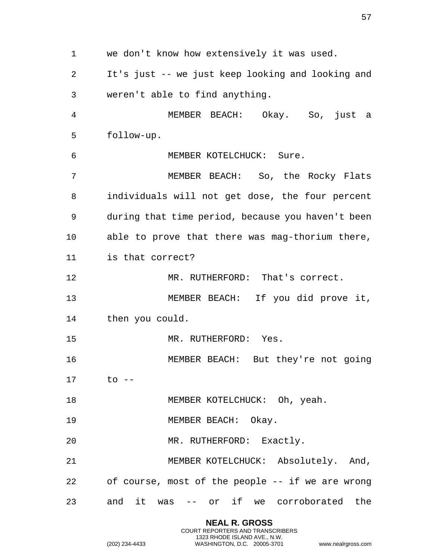we don't know how extensively it was used. It's just -- we just keep looking and looking and weren't able to find anything. MEMBER BEACH: Okay. So, just a follow-up. MEMBER KOTELCHUCK: Sure. MEMBER BEACH: So, the Rocky Flats individuals will not get dose, the four percent during that time period, because you haven't been able to prove that there was mag-thorium there, is that correct? MR. RUTHERFORD: That's correct. MEMBER BEACH: If you did prove it, then you could. 15 MR. RUTHERFORD: Yes. MEMBER BEACH: But they're not going to -- 18 MEMBER KOTELCHUCK: Oh, yeah. 19 MEMBER BEACH: Okay. 20 MR. RUTHERFORD: Exactly. 21 MEMBER KOTELCHUCK: Absolutely. And, of course, most of the people -- if we are wrong and it was -- or if we corroborated the

> **NEAL R. GROSS** COURT REPORTERS AND TRANSCRIBERS 1323 RHODE ISLAND AVE., N.W.

(202) 234-4433 WASHINGTON, D.C. 20005-3701 www.nealrgross.com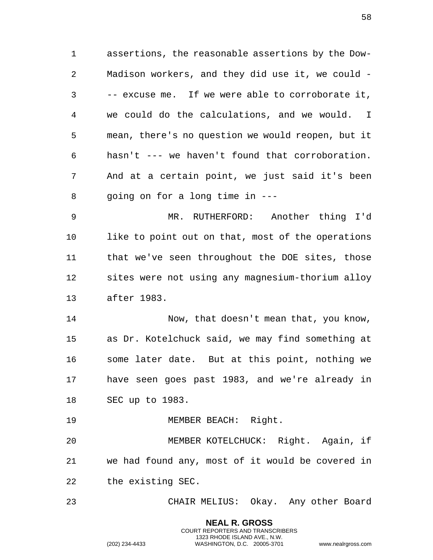assertions, the reasonable assertions by the Dow- Madison workers, and they did use it, we could - -- excuse me. If we were able to corroborate it, we could do the calculations, and we would. I mean, there's no question we would reopen, but it hasn't --- we haven't found that corroboration. And at a certain point, we just said it's been going on for a long time in ---

 MR. RUTHERFORD: Another thing I'd 10 like to point out on that, most of the operations that we've seen throughout the DOE sites, those sites were not using any magnesium-thorium alloy after 1983.

 Now, that doesn't mean that, you know, as Dr. Kotelchuck said, we may find something at some later date. But at this point, nothing we have seen goes past 1983, and we're already in SEC up to 1983.

19 MEMBER BEACH: Right.

 MEMBER KOTELCHUCK: Right. Again, if we had found any, most of it would be covered in the existing SEC.

CHAIR MELIUS: Okay. Any other Board

**NEAL R. GROSS** COURT REPORTERS AND TRANSCRIBERS 1323 RHODE ISLAND AVE., N.W.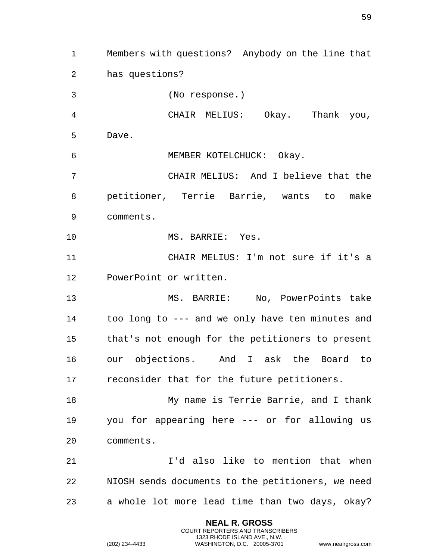Members with questions? Anybody on the line that has questions? (No response.) CHAIR MELIUS: Okay. Thank you, Dave. MEMBER KOTELCHUCK: Okay. CHAIR MELIUS: And I believe that the petitioner, Terrie Barrie, wants to make comments. 10 MS. BARRIE: Yes. CHAIR MELIUS: I'm not sure if it's a PowerPoint or written. MS. BARRIE: No, PowerPoints take too long to --- and we only have ten minutes and that's not enough for the petitioners to present our objections. And I ask the Board to reconsider that for the future petitioners. My name is Terrie Barrie, and I thank you for appearing here --- or for allowing us comments. I'd also like to mention that when NIOSH sends documents to the petitioners, we need a whole lot more lead time than two days, okay?

> **NEAL R. GROSS** COURT REPORTERS AND TRANSCRIBERS 1323 RHODE ISLAND AVE., N.W.

(202) 234-4433 WASHINGTON, D.C. 20005-3701 www.nealrgross.com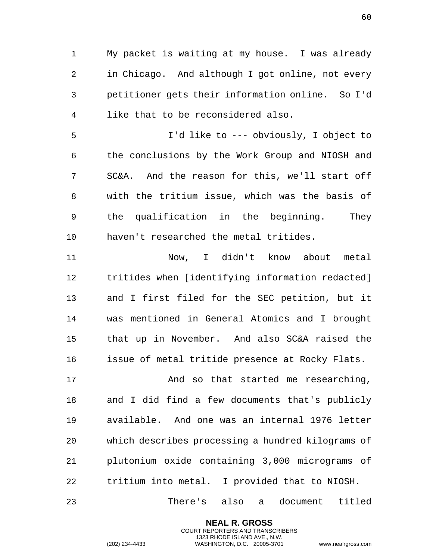My packet is waiting at my house. I was already in Chicago. And although I got online, not every petitioner gets their information online. So I'd like that to be reconsidered also.

 I'd like to --- obviously, I object to the conclusions by the Work Group and NIOSH and SC&A. And the reason for this, we'll start off with the tritium issue, which was the basis of the qualification in the beginning. They haven't researched the metal tritides.

 Now, I didn't know about metal tritides when [identifying information redacted] and I first filed for the SEC petition, but it was mentioned in General Atomics and I brought that up in November. And also SC&A raised the issue of metal tritide presence at Rocky Flats.

 And so that started me researching, and I did find a few documents that's publicly available. And one was an internal 1976 letter which describes processing a hundred kilograms of plutonium oxide containing 3,000 micrograms of tritium into metal. I provided that to NIOSH.

There's also a document titled

**NEAL R. GROSS** COURT REPORTERS AND TRANSCRIBERS 1323 RHODE ISLAND AVE., N.W.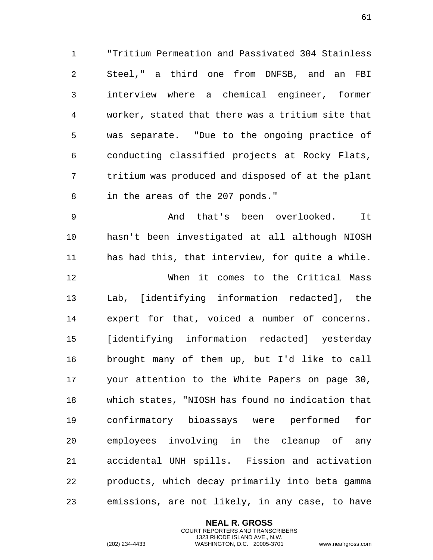1 "Tritium Permeation and Passivated 304 Stainless 2 Steel," a third one from DNFSB, and an FBI 3 interview where a chemical engineer, former 4 worker, stated that there was a tritium site that 5 was separate. "Due to the ongoing practice of 6 conducting classified projects at Rocky Flats, 7 tritium was produced and disposed of at the plant 8 in the areas of the 207 ponds."

9 And that's been overlooked. It 10 hasn't been investigated at all although NIOSH 11 has had this, that interview, for quite a while. 12 When it comes to the Critical Mass 13 Lab, [identifying information redacted], the 14 expert for that, voiced a number of concerns. 15 [identifying information redacted] yesterday 16 brought many of them up, but I'd like to call 17 your attention to the White Papers on page 30, 18 which states, "NIOSH has found no indication that 19 confirmatory bioassays were performed for 20 employees involving in the cleanup of any 21 accidental UNH spills. Fission and activation 22 products, which decay primarily into beta gamma 23 emissions, are not likely, in any case, to have

> **NEAL R. GROSS** COURT REPORTERS AND TRANSCRIBERS 1323 RHODE ISLAND AVE., N.W.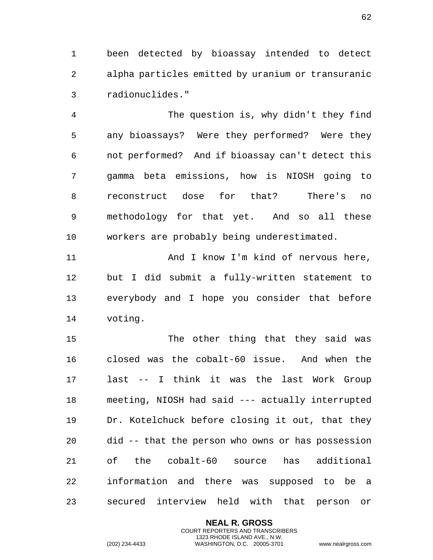1 been detected by bioassay intended to detect 2 alpha particles emitted by uranium or transuranic 3 radionuclides."

4 The question is, why didn't they find 5 any bioassays? Were they performed? Were they 6 not performed? And if bioassay can't detect this 7 gamma beta emissions, how is NIOSH going to 8 reconstruct dose for that? There's no 9 methodology for that yet. And so all these 10 workers are probably being underestimated.

11 And I know I'm kind of nervous here, 12 but I did submit a fully-written statement to 13 everybody and I hope you consider that before 14 voting.

15 The other thing that they said was 16 closed was the cobalt-60 issue. And when the 17 last -- I think it was the last Work Group 18 meeting, NIOSH had said --- actually interrupted 19 Dr. Kotelchuck before closing it out, that they 20 did -- that the person who owns or has possession 21 of the cobalt-60 source has additional 22 information and there was supposed to be a 23 secured interview held with that person or

> **NEAL R. GROSS** COURT REPORTERS AND TRANSCRIBERS 1323 RHODE ISLAND AVE., N.W.

(202) 234-4433 WASHINGTON, D.C. 20005-3701 www.nealrgross.com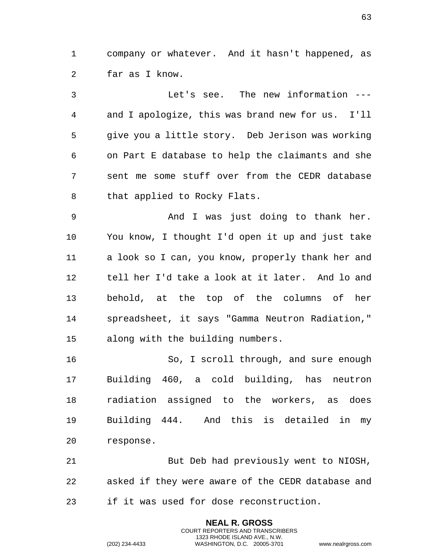company or whatever. And it hasn't happened, as far as I know.

 Let's see. The new information --- and I apologize, this was brand new for us. I'll give you a little story. Deb Jerison was working on Part E database to help the claimants and she sent me some stuff over from the CEDR database 8 that applied to Rocky Flats.

 And I was just doing to thank her. You know, I thought I'd open it up and just take a look so I can, you know, properly thank her and tell her I'd take a look at it later. And lo and behold, at the top of the columns of her spreadsheet, it says "Gamma Neutron Radiation," along with the building numbers.

 So, I scroll through, and sure enough Building 460, a cold building, has neutron radiation assigned to the workers, as does Building 444. And this is detailed in my response.

 But Deb had previously went to NIOSH, asked if they were aware of the CEDR database and if it was used for dose reconstruction.

> **NEAL R. GROSS** COURT REPORTERS AND TRANSCRIBERS 1323 RHODE ISLAND AVE., N.W.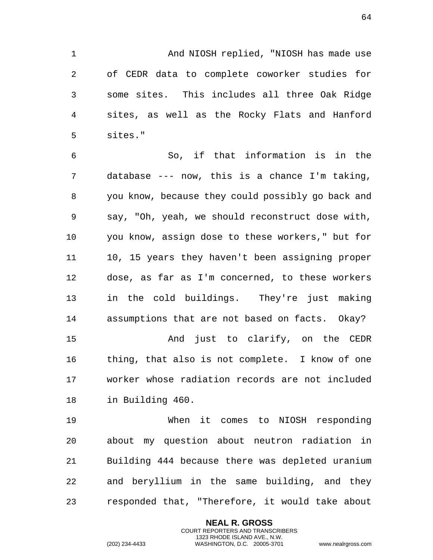1 And NIOSH replied, "NIOSH has made use 2 of CEDR data to complete coworker studies for 3 some sites. This includes all three Oak Ridge 4 sites, as well as the Rocky Flats and Hanford 5 sites."

6 So, if that information is in the 7 database --- now, this is a chance I'm taking, 8 you know, because they could possibly go back and 9 say, "Oh, yeah, we should reconstruct dose with, 10 you know, assign dose to these workers," but for 11 10, 15 years they haven't been assigning proper 12 dose, as far as I'm concerned, to these workers 13 in the cold buildings. They're just making 14 assumptions that are not based on facts. Okay? 15 And just to clarify, on the CEDR

16 thing, that also is not complete. I know of one 17 worker whose radiation records are not included 18 in Building 460.

19 When it comes to NIOSH responding 20 about my question about neutron radiation in 21 Building 444 because there was depleted uranium 22 and beryllium in the same building, and they 23 responded that, "Therefore, it would take about

> **NEAL R. GROSS** COURT REPORTERS AND TRANSCRIBERS 1323 RHODE ISLAND AVE., N.W.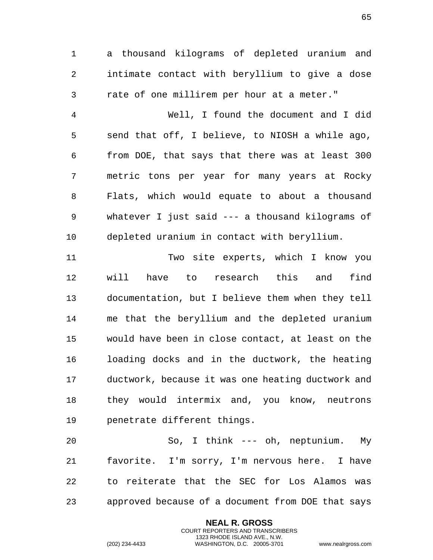a thousand kilograms of depleted uranium and intimate contact with beryllium to give a dose rate of one millirem per hour at a meter."

 Well, I found the document and I did send that off, I believe, to NIOSH a while ago, from DOE, that says that there was at least 300 metric tons per year for many years at Rocky Flats, which would equate to about a thousand whatever I just said --- a thousand kilograms of depleted uranium in contact with beryllium.

 Two site experts, which I know you will have to research this and find documentation, but I believe them when they tell me that the beryllium and the depleted uranium would have been in close contact, at least on the loading docks and in the ductwork, the heating ductwork, because it was one heating ductwork and they would intermix and, you know, neutrons penetrate different things.

 So, I think --- oh, neptunium. My favorite. I'm sorry, I'm nervous here. I have to reiterate that the SEC for Los Alamos was approved because of a document from DOE that says

> **NEAL R. GROSS** COURT REPORTERS AND TRANSCRIBERS 1323 RHODE ISLAND AVE., N.W.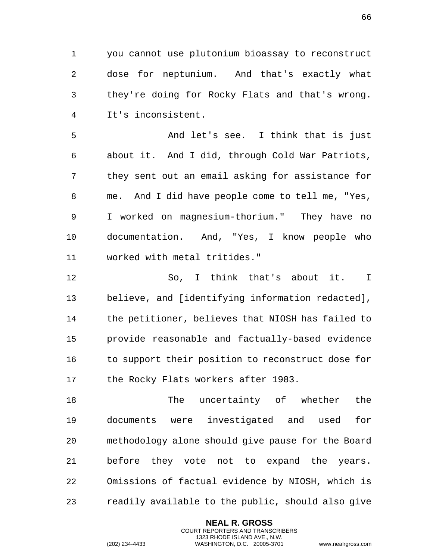1 you cannot use plutonium bioassay to reconstruct 2 dose for neptunium. And that's exactly what 3 they're doing for Rocky Flats and that's wrong. 4 It's inconsistent.

5 And let's see. I think that is just 6 about it. And I did, through Cold War Patriots, 7 they sent out an email asking for assistance for 8 me. And I did have people come to tell me, "Yes, 9 I worked on magnesium-thorium." They have no 10 documentation. And, "Yes, I know people who 11 worked with metal tritides."

12 So, I think that's about it. I 13 believe, and [identifying information redacted], 14 the petitioner, believes that NIOSH has failed to 15 provide reasonable and factually-based evidence 16 to support their position to reconstruct dose for 17 the Rocky Flats workers after 1983.

18 The uncertainty of whether the 19 documents were investigated and used for 20 methodology alone should give pause for the Board 21 before they vote not to expand the years. 22 Omissions of factual evidence by NIOSH, which is 23 readily available to the public, should also give

> **NEAL R. GROSS** COURT REPORTERS AND TRANSCRIBERS 1323 RHODE ISLAND AVE., N.W.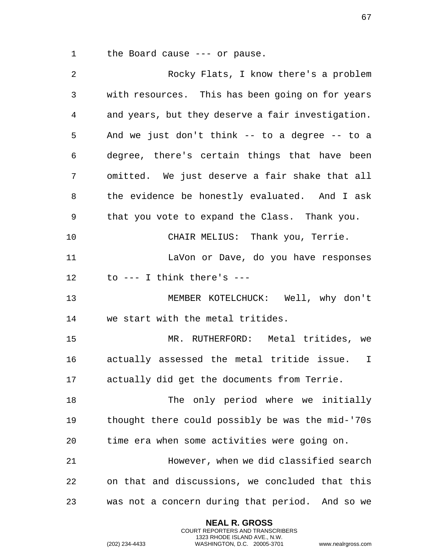1 the Board cause --- or pause.

| 2  | Rocky Flats, I know there's a problem                      |
|----|------------------------------------------------------------|
| 3  | with resources. This has been going on for years           |
| 4  | and years, but they deserve a fair investigation.          |
| 5  | And we just don't think -- to a degree -- to a             |
| 6  | degree, there's certain things that have been              |
| 7  | omitted. We just deserve a fair shake that all             |
| 8  | the evidence be honestly evaluated. And I ask              |
| 9  | that you vote to expand the Class. Thank you.              |
| 10 | CHAIR MELIUS: Thank you, Terrie.                           |
| 11 | LaVon or Dave, do you have responses                       |
| 12 | to $---$ I think there's $---$                             |
| 13 | MEMBER KOTELCHUCK: Well, why don't                         |
| 14 | we start with the metal tritides.                          |
| 15 | MR. RUTHERFORD: Metal tritides, we                         |
| 16 | actually assessed the metal tritide issue.<br>$\mathbf{I}$ |
| 17 | actually did get the documents from Terrie.                |
| 18 | The only period where we initially                         |
| 19 | thought there could possibly be was the mid-'70s           |
| 20 | time era when some activities were going on.               |
| 21 | However, when we did classified search                     |
| 22 | on that and discussions, we concluded that this            |
| 23 | was not a concern during that period. And so we            |

**NEAL R. GROSS** COURT REPORTERS AND TRANSCRIBERS 1323 RHODE ISLAND AVE., N.W.

(202) 234-4433 WASHINGTON, D.C. 20005-3701 www.nealrgross.com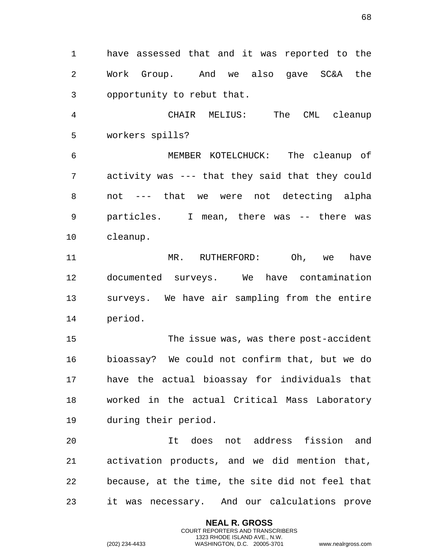1 have assessed that and it was reported to the 2 Work Group. And we also gave SC&A the 3 opportunity to rebut that.

4 CHAIR MELIUS: The CML cleanup 5 workers spills?

6 MEMBER KOTELCHUCK: The cleanup of 7 activity was --- that they said that they could 8 not --- that we were not detecting alpha 9 particles. I mean, there was -- there was 10 cleanup.

11 MR. RUTHERFORD: Oh, we have 12 documented surveys. We have contamination 13 surveys. We have air sampling from the entire 14 period.

15 The issue was, was there post-accident 16 bioassay? We could not confirm that, but we do 17 have the actual bioassay for individuals that 18 worked in the actual Critical Mass Laboratory 19 during their period.

20 It does not address fission and 21 activation products, and we did mention that, 22 because, at the time, the site did not feel that 23 it was necessary. And our calculations prove

> **NEAL R. GROSS** COURT REPORTERS AND TRANSCRIBERS 1323 RHODE ISLAND AVE., N.W.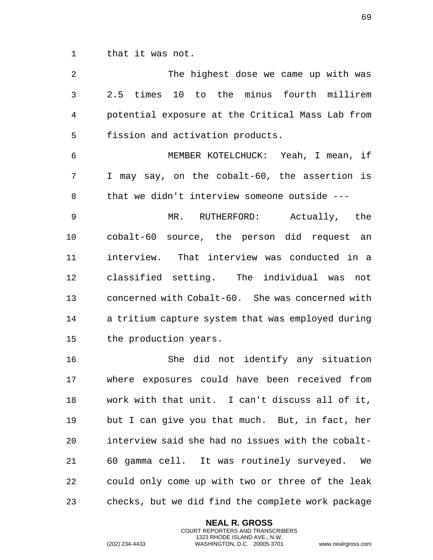1 that it was not.

| $\overline{2}$ | The highest dose we came up with was              |
|----------------|---------------------------------------------------|
| 3              | 2.5 times 10 to the minus fourth millirem         |
| 4              | potential exposure at the Critical Mass Lab from  |
| 5              | fission and activation products.                  |
| 6              | MEMBER KOTELCHUCK: Yeah, I mean, if               |
| 7              | I may say, on the cobalt-60, the assertion is     |
| 8              | that we didn't interview someone outside ---      |
| 9              | MR. RUTHERFORD: Actually, the                     |
| 10             | cobalt-60 source, the person did request an       |
| 11             | interview. That interview was conducted in a      |
| 12             | classified setting. The individual was<br>not     |
| 13             | concerned with Cobalt-60. She was concerned with  |
| 14             | a tritium capture system that was employed during |
| 15             | the production years.                             |
| 16             | She did not identify any situation                |
| 17             | where exposures could have been received from     |
| 18             | work with that unit. I can't discuss all of it,   |
| 19             | but I can give you that much. But, in fact, her   |
| 20             | interview said she had no issues with the cobalt- |
| 21             | 60 gamma cell. It was routinely surveyed.<br>We   |
| 22             | could only come up with two or three of the leak  |
| 23             | checks, but we did find the complete work package |

**NEAL R. GROSS** COURT REPORTERS AND TRANSCRIBERS 1323 RHODE ISLAND AVE., N.W.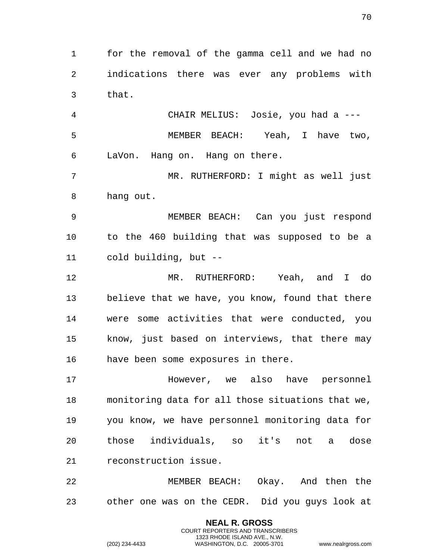for the removal of the gamma cell and we had no indications there was ever any problems with that.

 CHAIR MELIUS: Josie, you had a --- MEMBER BEACH: Yeah, I have two, LaVon. Hang on. Hang on there.

 MR. RUTHERFORD: I might as well just hang out.

 MEMBER BEACH: Can you just respond to the 460 building that was supposed to be a cold building, but --

 MR. RUTHERFORD: Yeah, and I do believe that we have, you know, found that there were some activities that were conducted, you know, just based on interviews, that there may have been some exposures in there.

 However, we also have personnel monitoring data for all those situations that we, you know, we have personnel monitoring data for those individuals, so it's not a dose reconstruction issue.

 MEMBER BEACH: Okay. And then the other one was on the CEDR. Did you guys look at

> **NEAL R. GROSS** COURT REPORTERS AND TRANSCRIBERS 1323 RHODE ISLAND AVE., N.W.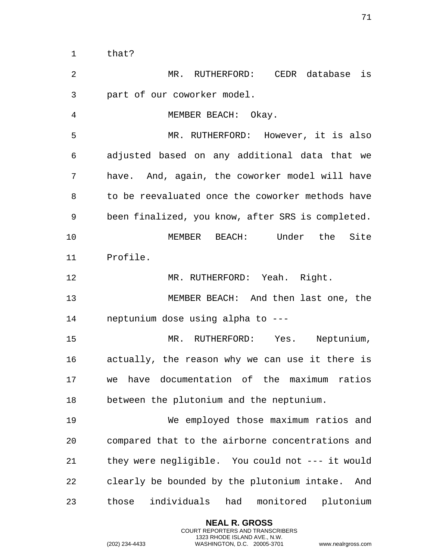that? MR. RUTHERFORD: CEDR database is part of our coworker model. MEMBER BEACH: Okay. MR. RUTHERFORD: However, it is also adjusted based on any additional data that we have. And, again, the coworker model will have to be reevaluated once the coworker methods have been finalized, you know, after SRS is completed. MEMBER BEACH: Under the Site Profile. MR. RUTHERFORD: Yeah. Right. MEMBER BEACH: And then last one, the neptunium dose using alpha to --- MR. RUTHERFORD: Yes. Neptunium, actually, the reason why we can use it there is

 we have documentation of the maximum ratios between the plutonium and the neptunium.

 We employed those maximum ratios and compared that to the airborne concentrations and they were negligible. You could not --- it would clearly be bounded by the plutonium intake. And those individuals had monitored plutonium

> **NEAL R. GROSS** COURT REPORTERS AND TRANSCRIBERS 1323 RHODE ISLAND AVE., N.W.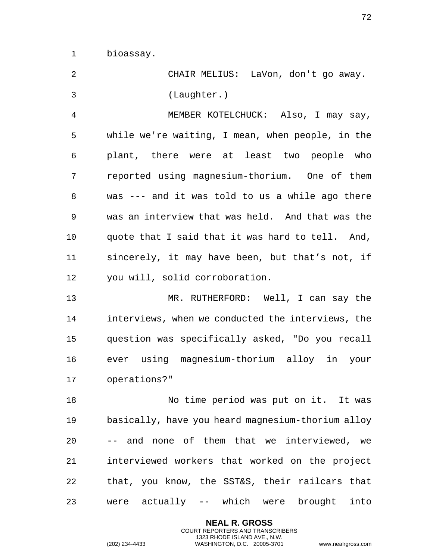bioassay.

| 2  | CHAIR MELIUS: LaVon, don't go away.               |
|----|---------------------------------------------------|
| 3  | (Laughter.)                                       |
| 4  | MEMBER KOTELCHUCK: Also, I may say,               |
| 5  | while we're waiting, I mean, when people, in the  |
| 6  | plant, there were at least two people who         |
| 7  | reported using magnesium-thorium. One of them     |
| 8  | was --- and it was told to us a while ago there   |
| 9  | was an interview that was held. And that was the  |
| 10 | quote that I said that it was hard to tell. And,  |
| 11 | sincerely, it may have been, but that's not, if   |
| 12 | you will, solid corroboration.                    |
| 13 | MR. RUTHERFORD: Well, I can say the               |
| 14 | interviews, when we conducted the interviews, the |
| 15 | question was specifically asked, "Do you recall   |
| 16 | ever using magnesium-thorium alloy in your        |
| 17 | operations?"                                      |
| 18 | No time period was put on it. It was              |
| 19 | basically, have you heard magnesium-thorium alloy |
| 20 | -- and none of them that we interviewed, we       |
| 21 | interviewed workers that worked on the project    |
| 22 | that, you know, the SST&S, their railcars that    |
| 23 | were actually -- which were brought into          |

**NEAL R. GROSS** COURT REPORTERS AND TRANSCRIBERS 1323 RHODE ISLAND AVE., N.W.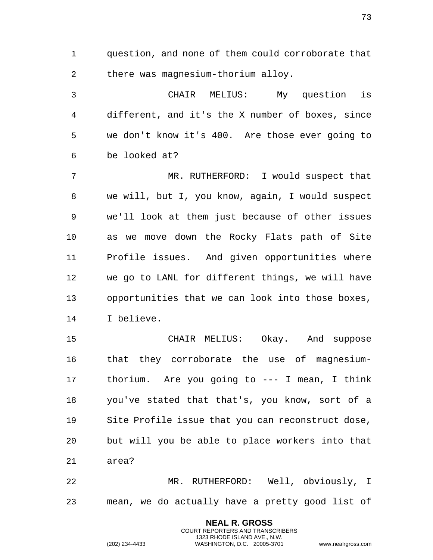1 question, and none of them could corroborate that 2 there was magnesium-thorium alloy.

3 CHAIR MELIUS: My question is 4 different, and it's the X number of boxes, since 5 we don't know it's 400. Are those ever going to 6 be looked at?

7 MR. RUTHERFORD: I would suspect that 8 we will, but I, you know, again, I would suspect 9 we'll look at them just because of other issues 10 as we move down the Rocky Flats path of Site 11 Profile issues. And given opportunities where 12 we go to LANL for different things, we will have 13 opportunities that we can look into those boxes, 14 I believe.

15 CHAIR MELIUS: Okay. And suppose 16 that they corroborate the use of magnesium-17 thorium. Are you going to --- I mean, I think 18 you've stated that that's, you know, sort of a 19 Site Profile issue that you can reconstruct dose, 20 but will you be able to place workers into that 21 area?

22 MR. RUTHERFORD: Well, obviously, I 23 mean, we do actually have a pretty good list of

> **NEAL R. GROSS** COURT REPORTERS AND TRANSCRIBERS 1323 RHODE ISLAND AVE., N.W.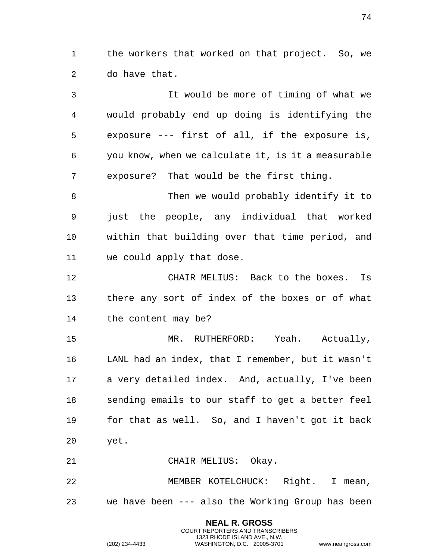the workers that worked on that project. So, we do have that.

 It would be more of timing of what we would probably end up doing is identifying the exposure --- first of all, if the exposure is, you know, when we calculate it, is it a measurable exposure? That would be the first thing.

 Then we would probably identify it to just the people, any individual that worked within that building over that time period, and we could apply that dose.

 CHAIR MELIUS: Back to the boxes. Is there any sort of index of the boxes or of what the content may be?

 MR. RUTHERFORD: Yeah. Actually, LANL had an index, that I remember, but it wasn't a very detailed index. And, actually, I've been sending emails to our staff to get a better feel for that as well. So, and I haven't got it back yet.

CHAIR MELIUS: Okay.

 MEMBER KOTELCHUCK: Right. I mean, we have been --- also the Working Group has been

> **NEAL R. GROSS** COURT REPORTERS AND TRANSCRIBERS 1323 RHODE ISLAND AVE., N.W.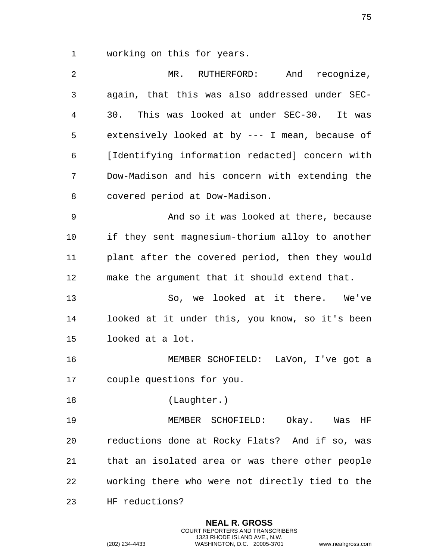working on this for years.

| 2              | MR. RUTHERFORD: And recognize,                  |
|----------------|-------------------------------------------------|
| $\mathfrak{Z}$ | again, that this was also addressed under SEC-  |
| 4              | 30. This was looked at under SEC-30. It was     |
| 5              | extensively looked at by --- I mean, because of |
| 6              | [Identifying information redacted] concern with |
| 7              | Dow-Madison and his concern with extending the  |
| 8              | covered period at Dow-Madison.                  |
| 9              | And so it was looked at there, because          |
| 10             | if they sent magnesium-thorium alloy to another |
| 11             | plant after the covered period, then they would |
| 12             | make the argument that it should extend that.   |
| 13             | So, we looked at it there. We've                |
| 14             | looked at it under this, you know, so it's been |
| 15             | looked at a lot.                                |
| 16             | MEMBER SCHOFIELD: LaVon, I've got a             |
| 17             | couple questions for you.                       |
| 18             | (Laughter.)                                     |
| 19             | MEMBER SCHOFIELD: Okay. Was HF                  |
| 20             | reductions done at Rocky Flats? And if so, was  |
| 21             | that an isolated area or was there other people |
| 22             | working there who were not directly tied to the |
| 23             | HF reductions?                                  |

**NEAL R. GROSS** COURT REPORTERS AND TRANSCRIBERS 1323 RHODE ISLAND AVE., N.W.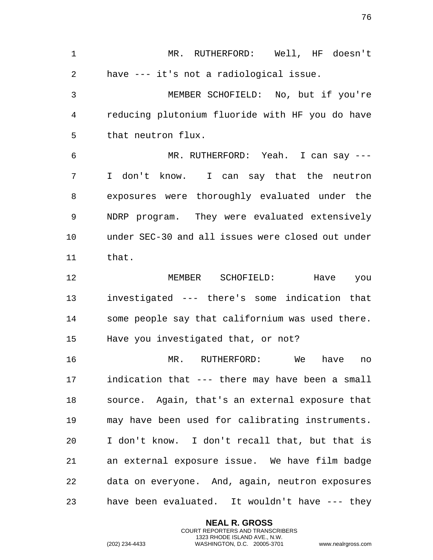MR. RUTHERFORD: Well, HF doesn't have --- it's not a radiological issue. MEMBER SCHOFIELD: No, but if you're reducing plutonium fluoride with HF you do have that neutron flux. MR. RUTHERFORD: Yeah. I can say --- I don't know. I can say that the neutron exposures were thoroughly evaluated under the NDRP program. They were evaluated extensively under SEC-30 and all issues were closed out under that. MEMBER SCHOFIELD: Have you investigated --- there's some indication that some people say that californium was used there. Have you investigated that, or not? MR. RUTHERFORD: We have no indication that --- there may have been a small source. Again, that's an external exposure that may have been used for calibrating instruments. I don't know. I don't recall that, but that is an external exposure issue. We have film badge data on everyone. And, again, neutron exposures have been evaluated. It wouldn't have --- they

> **NEAL R. GROSS** COURT REPORTERS AND TRANSCRIBERS 1323 RHODE ISLAND AVE., N.W.

(202) 234-4433 WASHINGTON, D.C. 20005-3701 www.nealrgross.com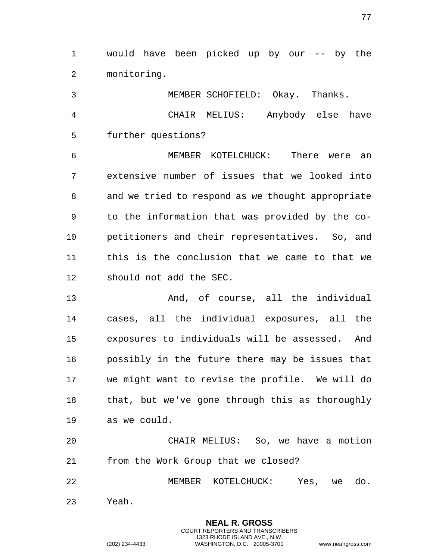would have been picked up by our -- by the monitoring.

 MEMBER SCHOFIELD: Okay. Thanks. CHAIR MELIUS: Anybody else have further questions? MEMBER KOTELCHUCK: There were an extensive number of issues that we looked into and we tried to respond as we thought appropriate to the information that was provided by the co- petitioners and their representatives. So, and this is the conclusion that we came to that we

should not add the SEC.

 And, of course, all the individual cases, all the individual exposures, all the exposures to individuals will be assessed. And possibly in the future there may be issues that we might want to revise the profile. We will do that, but we've gone through this as thoroughly as we could.

 CHAIR MELIUS: So, we have a motion from the Work Group that we closed?

 MEMBER KOTELCHUCK: Yes, we do. Yeah.

> **NEAL R. GROSS** COURT REPORTERS AND TRANSCRIBERS 1323 RHODE ISLAND AVE., N.W.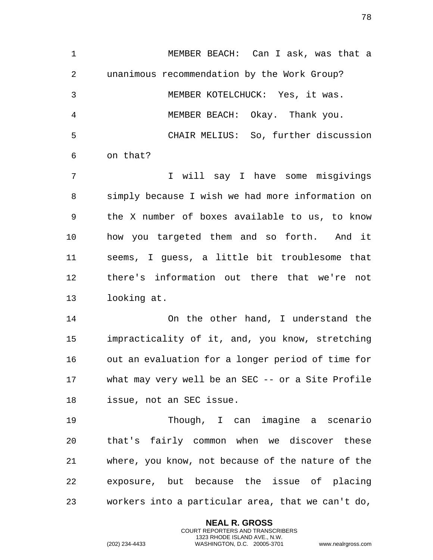MEMBER BEACH: Can I ask, was that a unanimous recommendation by the Work Group? MEMBER KOTELCHUCK: Yes, it was. MEMBER BEACH: Okay. Thank you. CHAIR MELIUS: So, further discussion on that? I will say I have some misgivings simply because I wish we had more information on the X number of boxes available to us, to know how you targeted them and so forth. And it seems, I guess, a little bit troublesome that there's information out there that we're not looking at. On the other hand, I understand the impracticality of it, and, you know, stretching out an evaluation for a longer period of time for what may very well be an SEC -- or a Site Profile issue, not an SEC issue. Though, I can imagine a scenario that's fairly common when we discover these where, you know, not because of the nature of the exposure, but because the issue of placing workers into a particular area, that we can't do,

> **NEAL R. GROSS** COURT REPORTERS AND TRANSCRIBERS 1323 RHODE ISLAND AVE., N.W.

(202) 234-4433 WASHINGTON, D.C. 20005-3701 www.nealrgross.com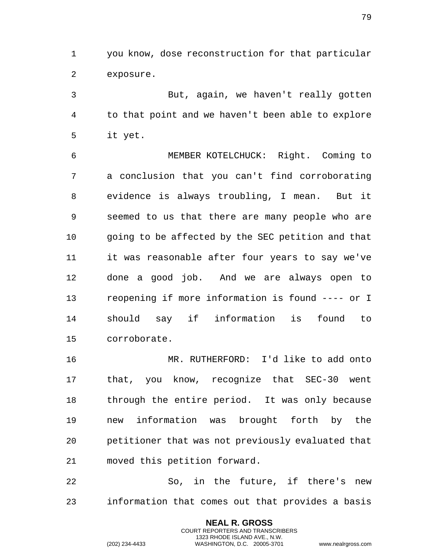you know, dose reconstruction for that particular exposure.

 But, again, we haven't really gotten to that point and we haven't been able to explore it yet.

 MEMBER KOTELCHUCK: Right. Coming to a conclusion that you can't find corroborating evidence is always troubling, I mean. But it seemed to us that there are many people who are going to be affected by the SEC petition and that it was reasonable after four years to say we've done a good job. And we are always open to reopening if more information is found ---- or I should say if information is found to corroborate.

 MR. RUTHERFORD: I'd like to add onto that, you know, recognize that SEC-30 went through the entire period. It was only because new information was brought forth by the petitioner that was not previously evaluated that moved this petition forward.

 So, in the future, if there's new information that comes out that provides a basis

> **NEAL R. GROSS** COURT REPORTERS AND TRANSCRIBERS 1323 RHODE ISLAND AVE., N.W.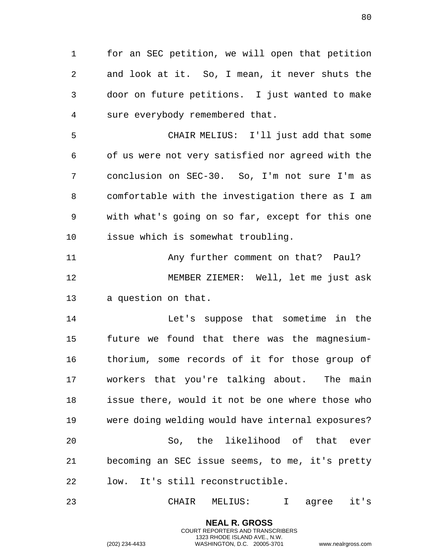1 for an SEC petition, we will open that petition 2 and look at it. So, I mean, it never shuts the 3 door on future petitions. I just wanted to make 4 sure everybody remembered that.

5 CHAIR MELIUS: I'll just add that some 6 of us were not very satisfied nor agreed with the 7 conclusion on SEC-30. So, I'm not sure I'm as 8 comfortable with the investigation there as I am 9 with what's going on so far, except for this one 10 issue which is somewhat troubling.

11 Any further comment on that? Paul? 12 MEMBER ZIEMER: Well, let me just ask 13 a question on that.

14 Let's suppose that sometime in the 15 future we found that there was the magnesium-16 thorium, some records of it for those group of 17 workers that you're talking about. The main 18 issue there, would it not be one where those who 19 were doing welding would have internal exposures? 20 So, the likelihood of that ever 21 becoming an SEC issue seems, to me, it's pretty 22 low. It's still reconstructible.

23 CHAIR MELIUS: I agree it's

**NEAL R. GROSS** COURT REPORTERS AND TRANSCRIBERS 1323 RHODE ISLAND AVE., N.W.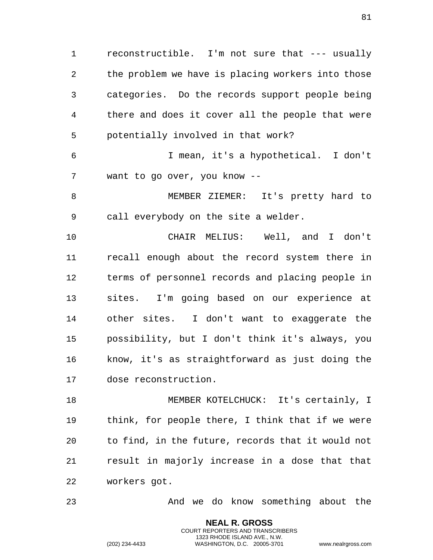reconstructible. I'm not sure that --- usually the problem we have is placing workers into those categories. Do the records support people being there and does it cover all the people that were potentially involved in that work?

 I mean, it's a hypothetical. I don't want to go over, you know --

 MEMBER ZIEMER: It's pretty hard to call everybody on the site a welder.

 CHAIR MELIUS: Well, and I don't recall enough about the record system there in terms of personnel records and placing people in sites. I'm going based on our experience at other sites. I don't want to exaggerate the possibility, but I don't think it's always, you know, it's as straightforward as just doing the dose reconstruction.

 MEMBER KOTELCHUCK: It's certainly, I think, for people there, I think that if we were to find, in the future, records that it would not result in majorly increase in a dose that that workers got.

And we do know something about the

**NEAL R. GROSS** COURT REPORTERS AND TRANSCRIBERS 1323 RHODE ISLAND AVE., N.W.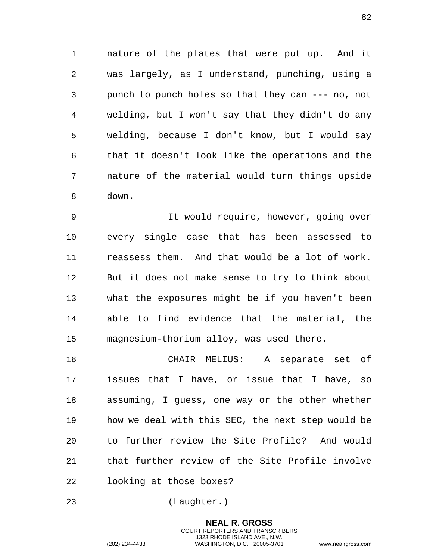1 nature of the plates that were put up. And it 2 was largely, as I understand, punching, using a 3 punch to punch holes so that they can --- no, not 4 welding, but I won't say that they didn't do any 5 welding, because I don't know, but I would say 6 that it doesn't look like the operations and the 7 nature of the material would turn things upside 8 down.

9 It would require, however, going over 10 every single case that has been assessed to 11 reassess them. And that would be a lot of work. 12 But it does not make sense to try to think about 13 what the exposures might be if you haven't been 14 able to find evidence that the material, the 15 magnesium-thorium alloy, was used there.

16 CHAIR MELIUS: A separate set of 17 issues that I have, or issue that I have, so 18 assuming, I guess, one way or the other whether 19 how we deal with this SEC, the next step would be 20 to further review the Site Profile? And would 21 that further review of the Site Profile involve 22 looking at those boxes?

23 (Laughter.)

**NEAL R. GROSS** COURT REPORTERS AND TRANSCRIBERS 1323 RHODE ISLAND AVE., N.W. (202) 234-4433 WASHINGTON, D.C. 20005-3701 www.nealrgross.com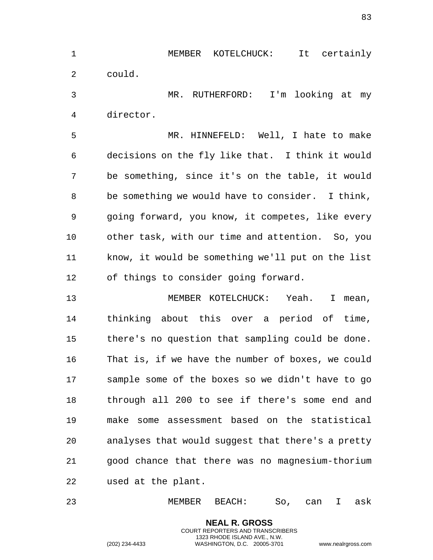MEMBER KOTELCHUCK: It certainly could.

 MR. RUTHERFORD: I'm looking at my director.

 MR. HINNEFELD: Well, I hate to make decisions on the fly like that. I think it would be something, since it's on the table, it would be something we would have to consider. I think, going forward, you know, it competes, like every other task, with our time and attention. So, you know, it would be something we'll put on the list of things to consider going forward.

 MEMBER KOTELCHUCK: Yeah. I mean, thinking about this over a period of time, there's no question that sampling could be done. That is, if we have the number of boxes, we could sample some of the boxes so we didn't have to go through all 200 to see if there's some end and make some assessment based on the statistical analyses that would suggest that there's a pretty good chance that there was no magnesium-thorium used at the plant.

MEMBER BEACH: So, can I ask

**NEAL R. GROSS** COURT REPORTERS AND TRANSCRIBERS 1323 RHODE ISLAND AVE., N.W.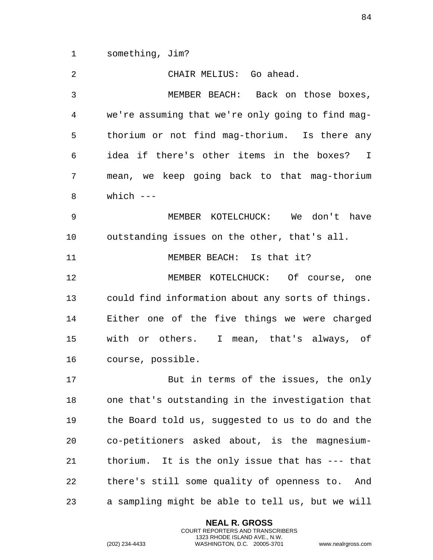something, Jim?

| 2  | CHAIR MELIUS: Go ahead.                           |
|----|---------------------------------------------------|
| 3  | MEMBER BEACH: Back on those boxes,                |
| 4  | we're assuming that we're only going to find mag- |
| 5  | thorium or not find mag-thorium. Is there any     |
| 6  | idea if there's other items in the boxes? I       |
| 7  | mean, we keep going back to that mag-thorium      |
| 8  | which $---$                                       |
| 9  | MEMBER KOTELCHUCK: We don't have                  |
| 10 | outstanding issues on the other, that's all.      |
| 11 | MEMBER BEACH: Is that it?                         |
| 12 | MEMBER KOTELCHUCK: Of course, one                 |
| 13 | could find information about any sorts of things. |
| 14 | Either one of the five things we were charged     |
| 15 | with or others. I mean, that's always, of         |
| 16 | course, possible.                                 |
| 17 | But in terms of the issues, the only              |
| 18 | one that's outstanding in the investigation that  |
| 19 | the Board told us, suggested to us to do and the  |
| 20 | co-petitioners asked about, is the magnesium-     |
| 21 | thorium. It is the only issue that has --- that   |
| 22 | there's still some quality of openness to.<br>And |
| 23 | a sampling might be able to tell us, but we will  |

**NEAL R. GROSS** COURT REPORTERS AND TRANSCRIBERS 1323 RHODE ISLAND AVE., N.W.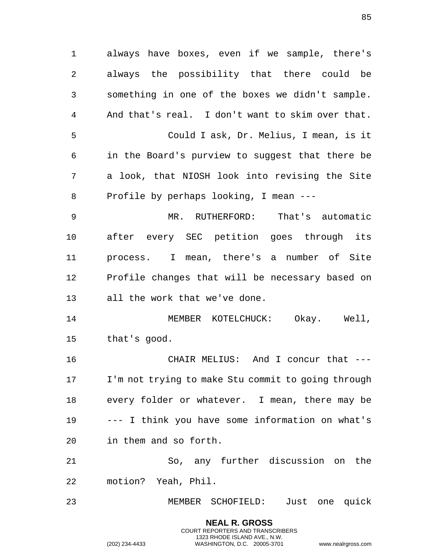1 always have boxes, even if we sample, there's 2 always the possibility that there could be 3 something in one of the boxes we didn't sample. 4 And that's real. I don't want to skim over that. 5 Could I ask, Dr. Melius, I mean, is it 6 in the Board's purview to suggest that there be 7 a look, that NIOSH look into revising the Site 8 Profile by perhaps looking, I mean --- 9 MR. RUTHERFORD: That's automatic 10 after every SEC petition goes through its 11 process. I mean, there's a number of Site 12 Profile changes that will be necessary based on 13 all the work that we've done. 14 MEMBER KOTELCHUCK: Okay. Well, 15 that's good. 16 CHAIR MELIUS: And I concur that --- 17 I'm not trying to make Stu commit to going through 18 every folder or whatever. I mean, there may be 19 --- I think you have some information on what's 20 in them and so forth. 21 So, any further discussion on the 22 motion? Yeah, Phil. 23 MEMBER SCHOFIELD: Just one quick

> **NEAL R. GROSS** COURT REPORTERS AND TRANSCRIBERS 1323 RHODE ISLAND AVE., N.W.

85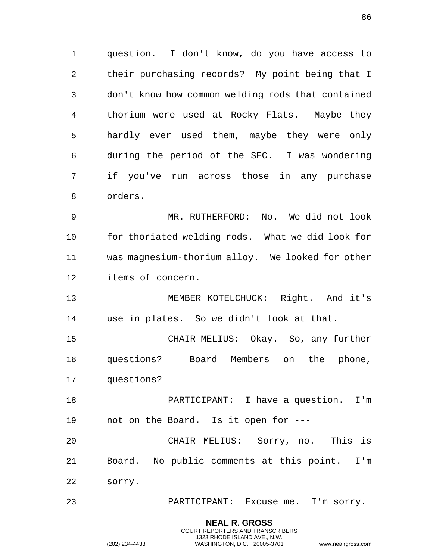1 question. I don't know, do you have access to 2 their purchasing records? My point being that I 3 don't know how common welding rods that contained 4 thorium were used at Rocky Flats. Maybe they 5 hardly ever used them, maybe they were only 6 during the period of the SEC. I was wondering 7 if you've run across those in any purchase 8 orders.

9 MR. RUTHERFORD: No. We did not look 10 for thoriated welding rods. What we did look for 11 was magnesium-thorium alloy. We looked for other 12 items of concern.

13 MEMBER KOTELCHUCK: Right. And it's 14 use in plates. So we didn't look at that.

15 CHAIR MELIUS: Okay. So, any further 16 questions? Board Members on the phone, 17 questions?

18 PARTICIPANT: I have a question. I'm 19 not on the Board. Is it open for ---

20 CHAIR MELIUS: Sorry, no. This is 21 Board. No public comments at this point. I'm 22 sorry.

23 PARTICIPANT: Excuse me. I'm sorry.

**NEAL R. GROSS** COURT REPORTERS AND TRANSCRIBERS 1323 RHODE ISLAND AVE., N.W.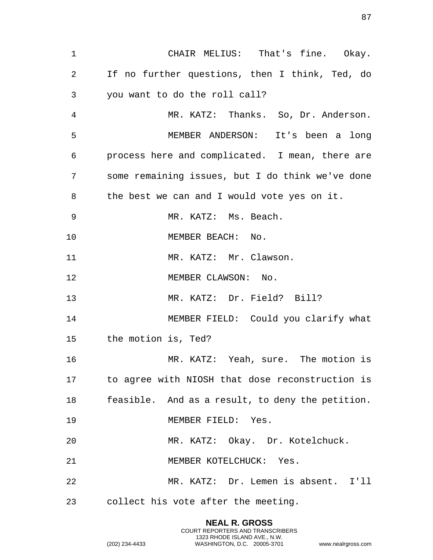CHAIR MELIUS: That's fine. Okay. If no further questions, then I think, Ted, do you want to do the roll call? MR. KATZ: Thanks. So, Dr. Anderson. MEMBER ANDERSON: It's been a long process here and complicated. I mean, there are some remaining issues, but I do think we've done the best we can and I would vote yes on it. MR. KATZ: Ms. Beach. 10 MEMBER BEACH: No. 11 MR. KATZ: Mr. Clawson. 12 MEMBER CLAWSON: No. MR. KATZ: Dr. Field? Bill? MEMBER FIELD: Could you clarify what the motion is, Ted? MR. KATZ: Yeah, sure. The motion is to agree with NIOSH that dose reconstruction is feasible. And as a result, to deny the petition. MEMBER FIELD: Yes. MR. KATZ: Okay. Dr. Kotelchuck. MEMBER KOTELCHUCK: Yes. MR. KATZ: Dr. Lemen is absent. I'll collect his vote after the meeting.

> **NEAL R. GROSS** COURT REPORTERS AND TRANSCRIBERS 1323 RHODE ISLAND AVE., N.W.

(202) 234-4433 WASHINGTON, D.C. 20005-3701 www.nealrgross.com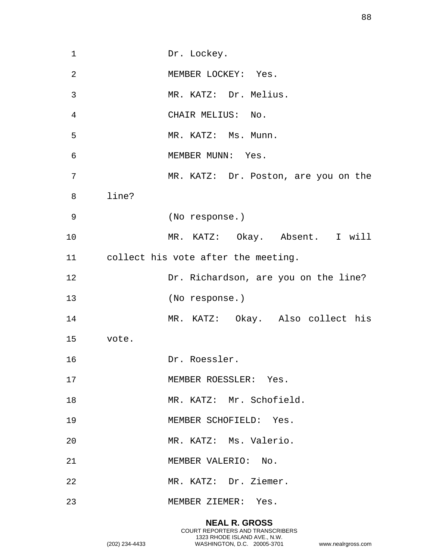| $\mathbf 1$ | Dr. Lockey.                          |
|-------------|--------------------------------------|
| 2           | MEMBER LOCKEY: Yes.                  |
| 3           | MR. KATZ: Dr. Melius.                |
| 4           | CHAIR MELIUS: No.                    |
| 5           | MR. KATZ: Ms. Munn.                  |
| 6           | MEMBER MUNN: Yes.                    |
| 7           | MR. KATZ: Dr. Poston, are you on the |
| 8           | line?                                |
| 9           | (No response.)                       |
| 10          | MR. KATZ: Okay. Absent. I will       |
| 11 —        | collect his vote after the meeting.  |
| 12          | Dr. Richardson, are you on the line? |
| 13          | (No response.)                       |
| 14          | MR. KATZ: Okay. Also collect his     |
| 15          | vote.                                |
| 16          | Dr. Roessler.                        |
| 17          | MEMBER ROESSLER: Yes.                |
| 18          | MR. KATZ: Mr. Schofield.             |
| 19          | MEMBER SCHOFIELD: Yes.               |
| 20          | MR. KATZ: Ms. Valerio.               |
| 21          | MEMBER VALERIO: No.                  |
| 22          | MR. KATZ: Dr. Ziemer.                |
| 23          | MEMBER ZIEMER: Yes.                  |
|             |                                      |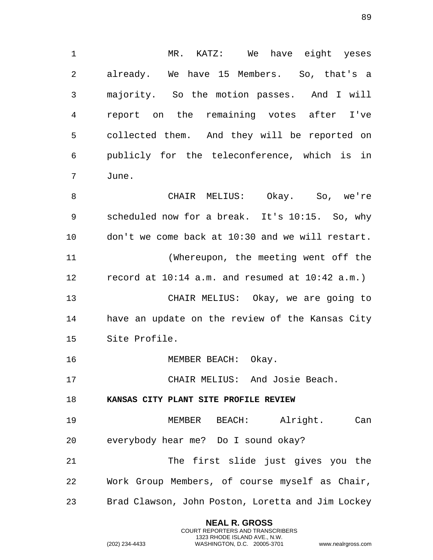1 MR. KATZ: We have eight yeses 2 already. We have 15 Members. So, that's a 3 majority. So the motion passes. And I will 4 report on the remaining votes after I've 5 collected them. And they will be reported on 6 publicly for the teleconference, which is in 7 June. 8 CHAIR MELIUS: Okay. So, we're 9 scheduled now for a break. It's 10:15. So, why 10 don't we come back at 10:30 and we will restart. 11 (Whereupon, the meeting went off the 12 record at 10:14 a.m. and resumed at 10:42 a.m.) 13 CHAIR MELIUS: Okay, we are going to 14 have an update on the review of the Kansas City 15 Site Profile. 16 MEMBER BEACH: Okay. 17 CHAIR MELIUS: And Josie Beach. 18 **KANSAS CITY PLANT SITE PROFILE REVIEW**  19 MEMBER BEACH: Alright. Can 20 everybody hear me? Do I sound okay? 21 The first slide just gives you the 22 Work Group Members, of course myself as Chair, 23 Brad Clawson, John Poston, Loretta and Jim Lockey

> **NEAL R. GROSS** COURT REPORTERS AND TRANSCRIBERS 1323 RHODE ISLAND AVE., N.W.

(202) 234-4433 WASHINGTON, D.C. 20005-3701 www.nealrgross.com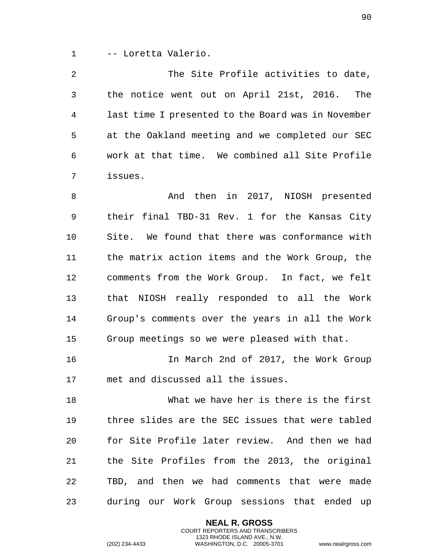1 -- Loretta Valerio.

2 The Site Profile activities to date, 3 the notice went out on April 21st, 2016. The 4 last time I presented to the Board was in November 5 at the Oakland meeting and we completed our SEC 6 work at that time. We combined all Site Profile 7 issues.

8 And then in 2017, NIOSH presented 9 their final TBD-31 Rev. 1 for the Kansas City 10 Site. We found that there was conformance with 11 the matrix action items and the Work Group, the 12 comments from the Work Group. In fact, we felt 13 that NIOSH really responded to all the Work 14 Group's comments over the years in all the Work 15 Group meetings so we were pleased with that.

16 In March 2nd of 2017, the Work Group 17 met and discussed all the issues.

18 What we have her is there is the first 19 three slides are the SEC issues that were tabled 20 for Site Profile later review. And then we had 21 the Site Profiles from the 2013, the original 22 TBD, and then we had comments that were made 23 during our Work Group sessions that ended up

> **NEAL R. GROSS** COURT REPORTERS AND TRANSCRIBERS 1323 RHODE ISLAND AVE., N.W.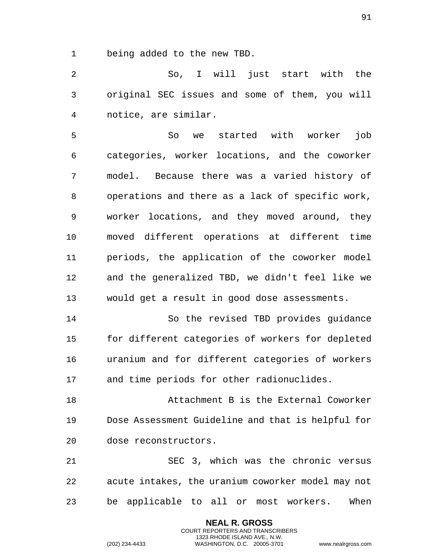being added to the new TBD.

 So, I will just start with the original SEC issues and some of them, you will notice, are similar.

 So we started with worker job categories, worker locations, and the coworker model. Because there was a varied history of operations and there as a lack of specific work, worker locations, and they moved around, they moved different operations at different time periods, the application of the coworker model and the generalized TBD, we didn't feel like we would get a result in good dose assessments.

 So the revised TBD provides guidance for different categories of workers for depleted uranium and for different categories of workers and time periods for other radionuclides.

 Attachment B is the External Coworker Dose Assessment Guideline and that is helpful for dose reconstructors.

 SEC 3, which was the chronic versus acute intakes, the uranium coworker model may not be applicable to all or most workers. When

> **NEAL R. GROSS** COURT REPORTERS AND TRANSCRIBERS 1323 RHODE ISLAND AVE., N.W.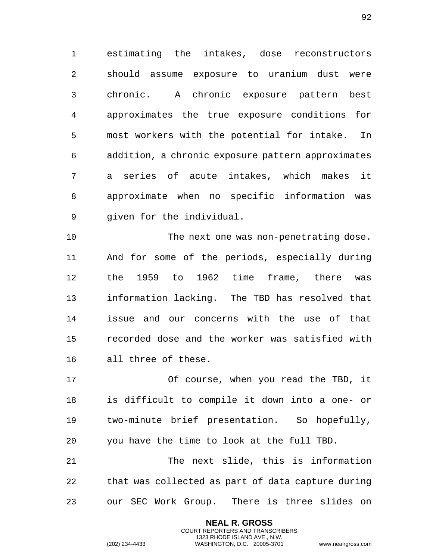estimating the intakes, dose reconstructors should assume exposure to uranium dust were chronic. A chronic exposure pattern best approximates the true exposure conditions for most workers with the potential for intake. In addition, a chronic exposure pattern approximates a series of acute intakes, which makes it approximate when no specific information was given for the individual.

 The next one was non-penetrating dose. And for some of the periods, especially during the 1959 to 1962 time frame, there was information lacking. The TBD has resolved that issue and our concerns with the use of that recorded dose and the worker was satisfied with all three of these.

 Of course, when you read the TBD, it is difficult to compile it down into a one- or two-minute brief presentation. So hopefully, you have the time to look at the full TBD.

 The next slide, this is information that was collected as part of data capture during our SEC Work Group. There is three slides on

> **NEAL R. GROSS** COURT REPORTERS AND TRANSCRIBERS 1323 RHODE ISLAND AVE., N.W.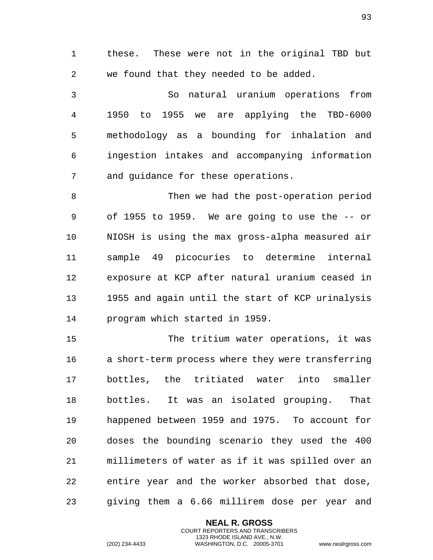these. These were not in the original TBD but we found that they needed to be added.

 So natural uranium operations from 1950 to 1955 we are applying the TBD-6000 methodology as a bounding for inhalation and ingestion intakes and accompanying information and guidance for these operations.

 Then we had the post-operation period of 1955 to 1959. We are going to use the -- or NIOSH is using the max gross-alpha measured air sample 49 picocuries to determine internal exposure at KCP after natural uranium ceased in 1955 and again until the start of KCP urinalysis program which started in 1959.

 The tritium water operations, it was a short-term process where they were transferring bottles, the tritiated water into smaller bottles. It was an isolated grouping. That happened between 1959 and 1975. To account for doses the bounding scenario they used the 400 millimeters of water as if it was spilled over an entire year and the worker absorbed that dose, giving them a 6.66 millirem dose per year and

> **NEAL R. GROSS** COURT REPORTERS AND TRANSCRIBERS 1323 RHODE ISLAND AVE., N.W.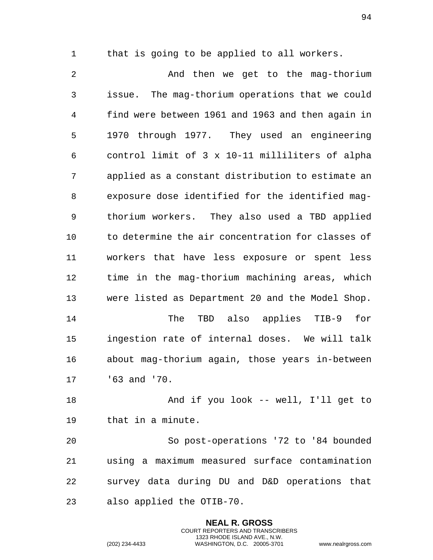that is going to be applied to all workers.

2 And then we get to the mag-thorium issue. The mag-thorium operations that we could find were between 1961 and 1963 and then again in 1970 through 1977. They used an engineering control limit of 3 x 10-11 milliliters of alpha applied as a constant distribution to estimate an exposure dose identified for the identified mag- thorium workers. They also used a TBD applied to determine the air concentration for classes of workers that have less exposure or spent less time in the mag-thorium machining areas, which were listed as Department 20 and the Model Shop. The TBD also applies TIB-9 for ingestion rate of internal doses. We will talk about mag-thorium again, those years in-between '63 and '70. And if you look -- well, I'll get to that in a minute.

 So post-operations '72 to '84 bounded using a maximum measured surface contamination survey data during DU and D&D operations that also applied the OTIB-70.

> **NEAL R. GROSS** COURT REPORTERS AND TRANSCRIBERS 1323 RHODE ISLAND AVE., N.W.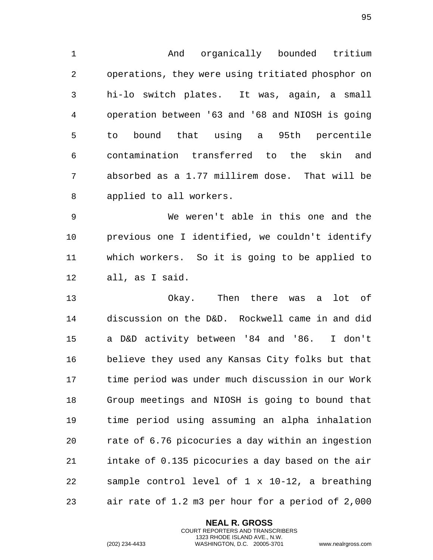And organically bounded tritium operations, they were using tritiated phosphor on hi-lo switch plates. It was, again, a small operation between '63 and '68 and NIOSH is going to bound that using a 95th percentile contamination transferred to the skin and absorbed as a 1.77 millirem dose. That will be applied to all workers.

 We weren't able in this one and the previous one I identified, we couldn't identify which workers. So it is going to be applied to all, as I said.

 Okay. Then there was a lot of discussion on the D&D. Rockwell came in and did a D&D activity between '84 and '86. I don't believe they used any Kansas City folks but that time period was under much discussion in our Work Group meetings and NIOSH is going to bound that time period using assuming an alpha inhalation rate of 6.76 picocuries a day within an ingestion intake of 0.135 picocuries a day based on the air sample control level of 1 x 10-12, a breathing air rate of 1.2 m3 per hour for a period of 2,000

> **NEAL R. GROSS** COURT REPORTERS AND TRANSCRIBERS 1323 RHODE ISLAND AVE., N.W.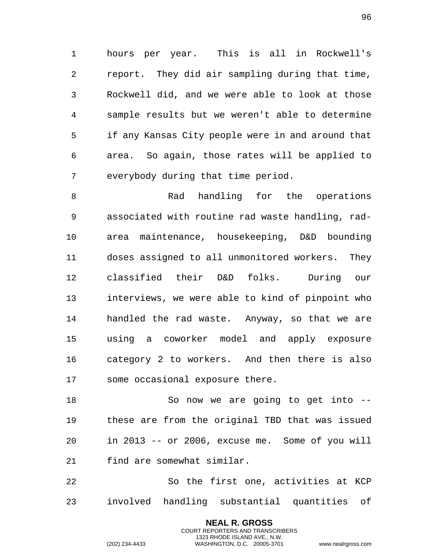hours per year. This is all in Rockwell's report. They did air sampling during that time, Rockwell did, and we were able to look at those sample results but we weren't able to determine if any Kansas City people were in and around that area. So again, those rates will be applied to everybody during that time period.

8 Rad handling for the operations associated with routine rad waste handling, rad- area maintenance, housekeeping, D&D bounding doses assigned to all unmonitored workers. They classified their D&D folks. During our interviews, we were able to kind of pinpoint who handled the rad waste. Anyway, so that we are using a coworker model and apply exposure category 2 to workers. And then there is also some occasional exposure there.

18 So now we are going to get into -- these are from the original TBD that was issued in 2013 -- or 2006, excuse me. Some of you will find are somewhat similar.

 So the first one, activities at KCP involved handling substantial quantities of

> **NEAL R. GROSS** COURT REPORTERS AND TRANSCRIBERS 1323 RHODE ISLAND AVE., N.W.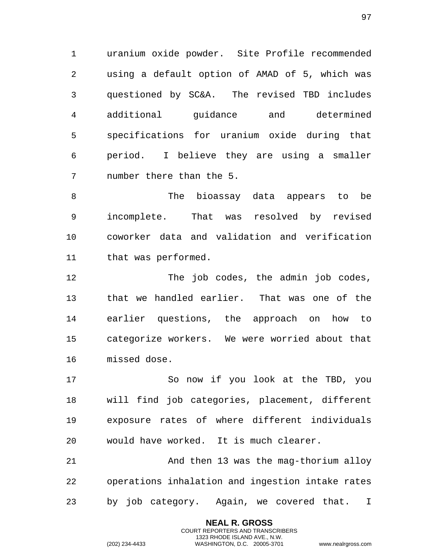uranium oxide powder. Site Profile recommended using a default option of AMAD of 5, which was questioned by SC&A. The revised TBD includes additional guidance and determined specifications for uranium oxide during that period. I believe they are using a smaller number there than the 5.

 The bioassay data appears to be incomplete. That was resolved by revised coworker data and validation and verification that was performed.

 The job codes, the admin job codes, that we handled earlier. That was one of the earlier questions, the approach on how to categorize workers. We were worried about that missed dose.

 So now if you look at the TBD, you will find job categories, placement, different exposure rates of where different individuals would have worked. It is much clearer.

 And then 13 was the mag-thorium alloy operations inhalation and ingestion intake rates by job category. Again, we covered that. I

> **NEAL R. GROSS** COURT REPORTERS AND TRANSCRIBERS 1323 RHODE ISLAND AVE., N.W.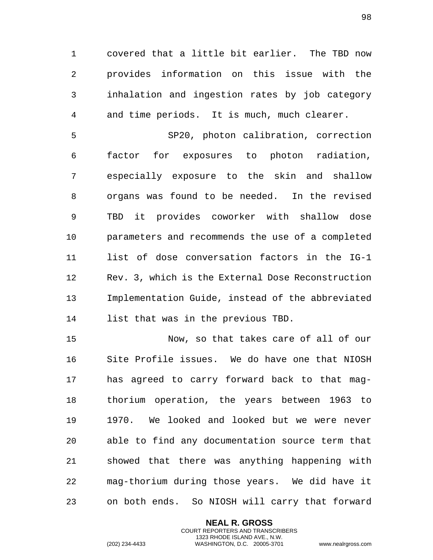1 covered that a little bit earlier. The TBD now 2 provides information on this issue with the 3 inhalation and ingestion rates by job category 4 and time periods. It is much, much clearer.

5 SP20, photon calibration, correction 6 factor for exposures to photon radiation, 7 especially exposure to the skin and shallow 8 organs was found to be needed. In the revised 9 TBD it provides coworker with shallow dose 10 parameters and recommends the use of a completed 11 list of dose conversation factors in the IG-1 12 Rev. 3, which is the External Dose Reconstruction 13 Implementation Guide, instead of the abbreviated 14 list that was in the previous TBD.

15 Now, so that takes care of all of our 16 Site Profile issues. We do have one that NIOSH 17 has agreed to carry forward back to that mag-18 thorium operation, the years between 1963 to 19 1970. We looked and looked but we were never 20 able to find any documentation source term that 21 showed that there was anything happening with 22 mag-thorium during those years. We did have it 23 on both ends. So NIOSH will carry that forward

> **NEAL R. GROSS** COURT REPORTERS AND TRANSCRIBERS 1323 RHODE ISLAND AVE., N.W.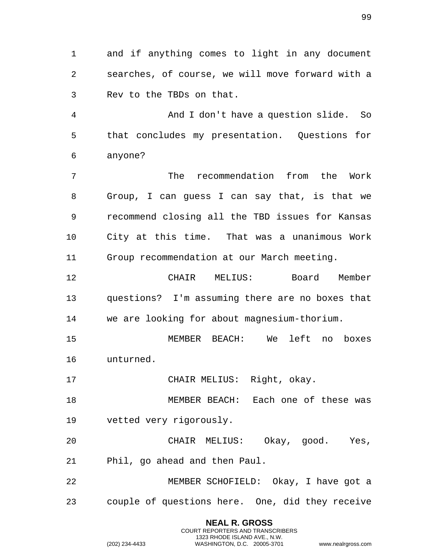1 and if anything comes to light in any document 2 searches, of course, we will move forward with a 3 Rev to the TBDs on that.

4 And I don't have a question slide. So 5 that concludes my presentation. Questions for 6 anyone?

7 The recommendation from the Work 8 Group, I can guess I can say that, is that we 9 recommend closing all the TBD issues for Kansas 10 City at this time. That was a unanimous Work 11 Group recommendation at our March meeting.

12 CHAIR MELIUS: Board Member 13 questions? I'm assuming there are no boxes that 14 we are looking for about magnesium-thorium.

15 MEMBER BEACH: We left no boxes 16 unturned.

17 CHAIR MELIUS: Right, okay.

18 MEMBER BEACH: Each one of these was 19 vetted very rigorously.

20 CHAIR MELIUS: Okay, good. Yes, 21 Phil, go ahead and then Paul.

22 MEMBER SCHOFIELD: Okay, I have got a 23 couple of questions here. One, did they receive

**NEAL R. GROSS**

COURT REPORTERS AND TRANSCRIBERS 1323 RHODE ISLAND AVE., N.W. (202) 234-4433 WASHINGTON, D.C. 20005-3701 www.nealrgross.com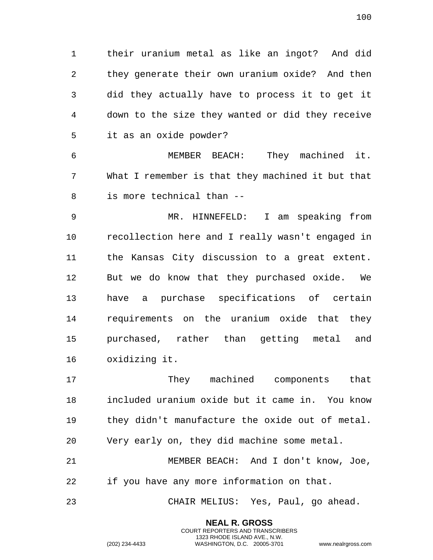their uranium metal as like an ingot? And did they generate their own uranium oxide? And then did they actually have to process it to get it down to the size they wanted or did they receive it as an oxide powder?

 MEMBER BEACH: They machined it. What I remember is that they machined it but that is more technical than --

 MR. HINNEFELD: I am speaking from recollection here and I really wasn't engaged in the Kansas City discussion to a great extent. But we do know that they purchased oxide. We have a purchase specifications of certain requirements on the uranium oxide that they purchased, rather than getting metal and oxidizing it.

 They machined components that included uranium oxide but it came in. You know they didn't manufacture the oxide out of metal. Very early on, they did machine some metal. MEMBER BEACH: And I don't know, Joe, if you have any more information on that. CHAIR MELIUS: Yes, Paul, go ahead.

> **NEAL R. GROSS** COURT REPORTERS AND TRANSCRIBERS 1323 RHODE ISLAND AVE., N.W.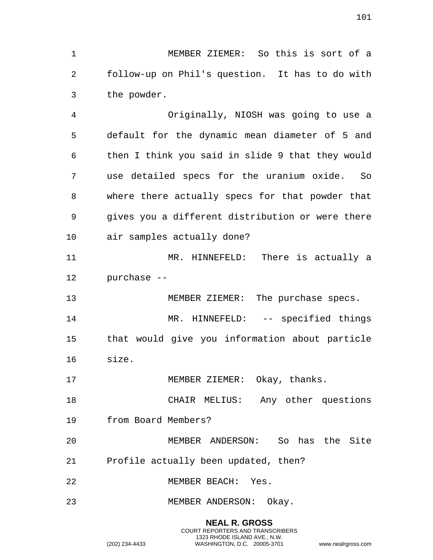MEMBER ZIEMER: So this is sort of a follow-up on Phil's question. It has to do with the powder.

 Originally, NIOSH was going to use a default for the dynamic mean diameter of 5 and then I think you said in slide 9 that they would use detailed specs for the uranium oxide. So where there actually specs for that powder that gives you a different distribution or were there air samples actually done?

 MR. HINNEFELD: There is actually a purchase --

 MEMBER ZIEMER: The purchase specs. 14 MR. HINNEFELD: -- specified things that would give you information about particle size.

17 MEMBER ZIEMER: Okay, thanks.

 CHAIR MELIUS: Any other questions from Board Members?

 MEMBER ANDERSON: So has the Site Profile actually been updated, then?

MEMBER BEACH: Yes.

MEMBER ANDERSON: Okay.

**NEAL R. GROSS** COURT REPORTERS AND TRANSCRIBERS 1323 RHODE ISLAND AVE., N.W. (202) 234-4433 WASHINGTON, D.C. 20005-3701 www.nealrgross.com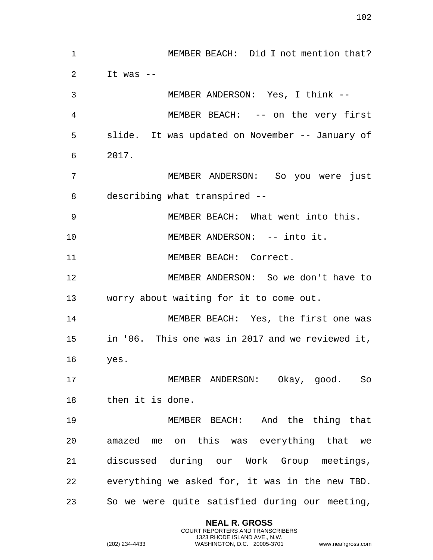| $\mathbf 1$ | MEMBER BEACH: Did I not mention that?            |
|-------------|--------------------------------------------------|
| 2           | It was $-$                                       |
| 3           | MEMBER ANDERSON: Yes, I think --                 |
| 4           | MEMBER BEACH: -- on the very first               |
| 5           | slide. It was updated on November -- January of  |
| 6           | 2017.                                            |
| 7           | MEMBER ANDERSON: So you were just                |
| 8           | describing what transpired --                    |
| 9           | MEMBER BEACH: What went into this.               |
| 10          | MEMBER ANDERSON: -- into it.                     |
| 11          | MEMBER BEACH: Correct.                           |
| 12          | MEMBER ANDERSON: So we don't have to             |
| 13          | worry about waiting for it to come out.          |
| 14          | MEMBER BEACH: Yes, the first one was             |
| 15          | in '06. This one was in 2017 and we reviewed it, |
| 16          | yes.                                             |
| 17          | MEMBER ANDERSON: Okay, good. So                  |
| 18          | then it is done.                                 |
| 19          | MEMBER BEACH: And the thing that                 |
| 20          | amazed me on this was everything that we         |
| 21          | discussed during our Work Group meetings,        |
| 22          | everything we asked for, it was in the new TBD.  |
| 23          | So we were quite satisfied during our meeting,   |

**NEAL R. GROSS** COURT REPORTERS AND TRANSCRIBERS 1323 RHODE ISLAND AVE., N.W.

(202) 234-4433 WASHINGTON, D.C. 20005-3701 www.nealrgross.com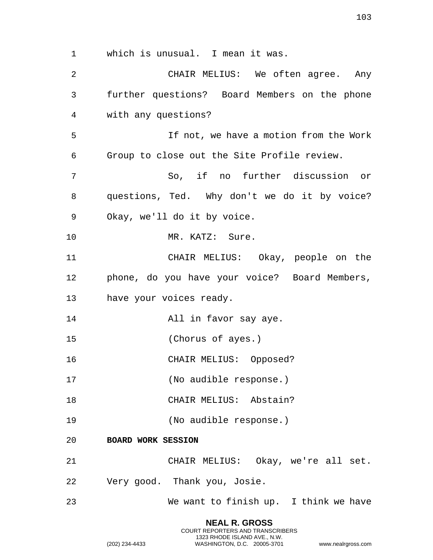**NEAL R. GROSS** 1 which is unusual. I mean it was. 2 CHAIR MELIUS: We often agree. Any 3 further questions? Board Members on the phone 4 with any questions? 5 If not, we have a motion from the Work 6 Group to close out the Site Profile review. 7 So, if no further discussion or 8 questions, Ted. Why don't we do it by voice? 9 Okay, we'll do it by voice. 10 MR. KATZ: Sure. 11 CHAIR MELIUS: Okay, people on the 12 phone, do you have your voice? Board Members, 13 have your voices ready. 14 All in favor say aye. 15 (Chorus of ayes.) 16 CHAIR MELIUS: Opposed? 17 (No audible response.) 18 CHAIR MELIUS: Abstain? 19 (No audible response.) 20 **BOARD WORK SESSION**  21 CHAIR MELIUS: Okay, we're all set. 22 Very good. Thank you, Josie. 23 We want to finish up. I think we have

COURT REPORTERS AND TRANSCRIBERS 1323 RHODE ISLAND AVE., N.W.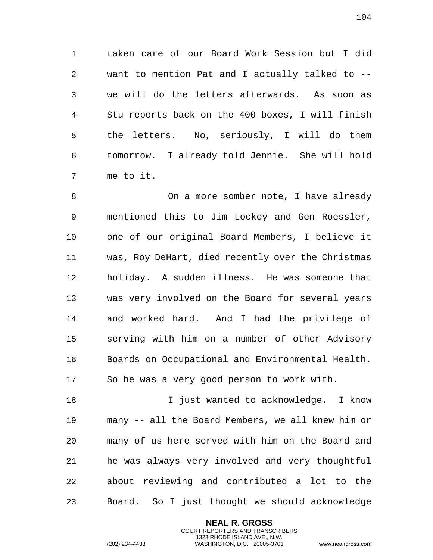1 taken care of our Board Work Session but I did 2 want to mention Pat and I actually talked to -- 3 we will do the letters afterwards. As soon as 4 Stu reports back on the 400 boxes, I will finish 5 the letters. No, seriously, I will do them 6 tomorrow. I already told Jennie. She will hold 7 me to it.

8 On a more somber note, I have already 9 mentioned this to Jim Lockey and Gen Roessler, 10 one of our original Board Members, I believe it 11 was, Roy DeHart, died recently over the Christmas 12 holiday. A sudden illness. He was someone that 13 was very involved on the Board for several years 14 and worked hard. And I had the privilege of 15 serving with him on a number of other Advisory 16 Boards on Occupational and Environmental Health. 17 So he was a very good person to work with.

18 I just wanted to acknowledge. I know 19 many -- all the Board Members, we all knew him or 20 many of us here served with him on the Board and 21 he was always very involved and very thoughtful 22 about reviewing and contributed a lot to the 23 Board. So I just thought we should acknowledge

> **NEAL R. GROSS** COURT REPORTERS AND TRANSCRIBERS 1323 RHODE ISLAND AVE., N.W.